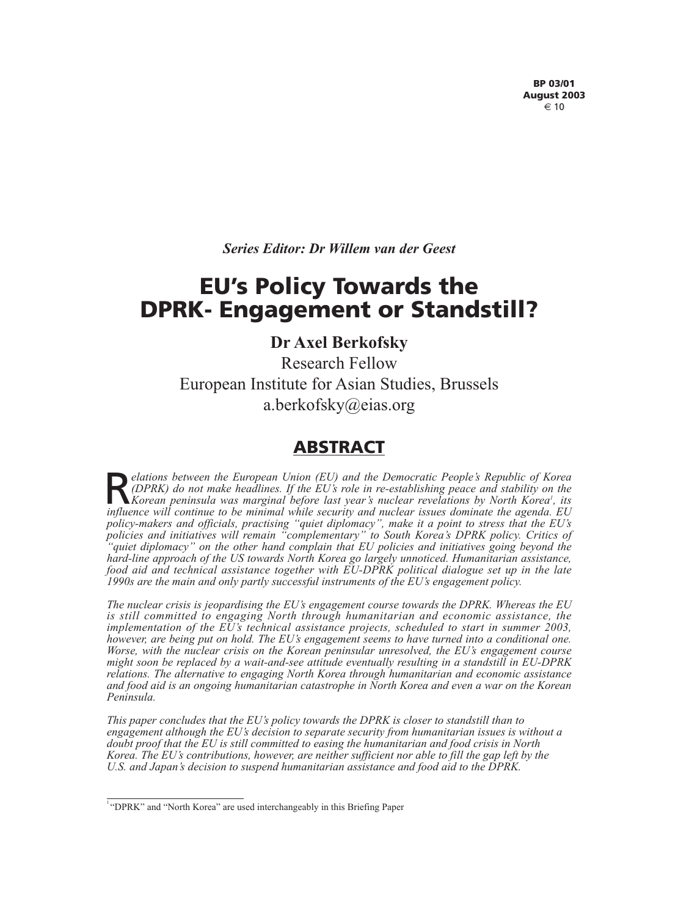*Series Editor: Dr Willem van der Geest* 

# **EU's Policy Towards the DPRK- Engagement or Standstill?**

# **Dr Axel Berkofsky**

Research Fellow European Institute for Asian Studies, Brussels a.berkofsky@eias.org

# **ABSTRACT**

*Pelations between the European Union (EU) and the Democratic People's Republic of Korea*<br>*(DPRK)* do not make headlines. If the EU's role in re-establishing peace and stability on the<br>*Korean peninsula was marginal philo (DPRK) do not make headlines. If the EU's role in re-establishing peace and stability on the* Korean peninsula was marginal before last year's nuclear revelations by North Korea<sup>1</sup>, its *influence will continue to be minimal while security and nuclear issues dominate the agenda. EU policy-makers and officials, practising "quiet diplomacy", make it a point to stress that the EU's policies and initiatives will remain "complementary" to South Korea's DPRK policy. Critics of "quiet diplomacy" on the other hand complain that EU policies and initiatives going beyond the hard-line approach of the US towards North Korea go largely unnoticed. Humanitarian assistance, food aid and technical assistance together with EU-DPRK political dialogue set up in the late 1990s are the main and only partly successful instruments of the EU's engagement policy.* 

*The nuclear crisis is jeopardising the EU's engagement course towards the DPRK. Whereas the EU is still committed to engaging North through humanitarian and economic assistance, the implementation of the EU's technical assistance projects, scheduled to start in summer 2003, however, are being put on hold. The EU's engagement seems to have turned into a conditional one. Worse, with the nuclear crisis on the Korean peninsular unresolved, the EU's engagement course might soon be replaced by a wait-and-see attitude eventually resulting in a standstill in EU-DPRK relations. The alternative to engaging North Korea through humanitarian and economic assistance and food aid is an ongoing humanitarian catastrophe in North Korea and even a war on the Korean Peninsula.* 

*This paper concludes that the EU's policy towards the DPRK is closer to standstill than to engagement although the EU's decision to separate security from humanitarian issues is without a doubt proof that the EU is still committed to easing the humanitarian and food crisis in North Korea. The EU's contributions, however, are neither sufficient nor able to fill the gap left by the U.S. and Japan's decision to suspend humanitarian assistance and food aid to the DPRK.*

<sup>&</sup>lt;sup>1</sup> "DPRK" and "North Korea" are used interchangeably in this Briefing Paper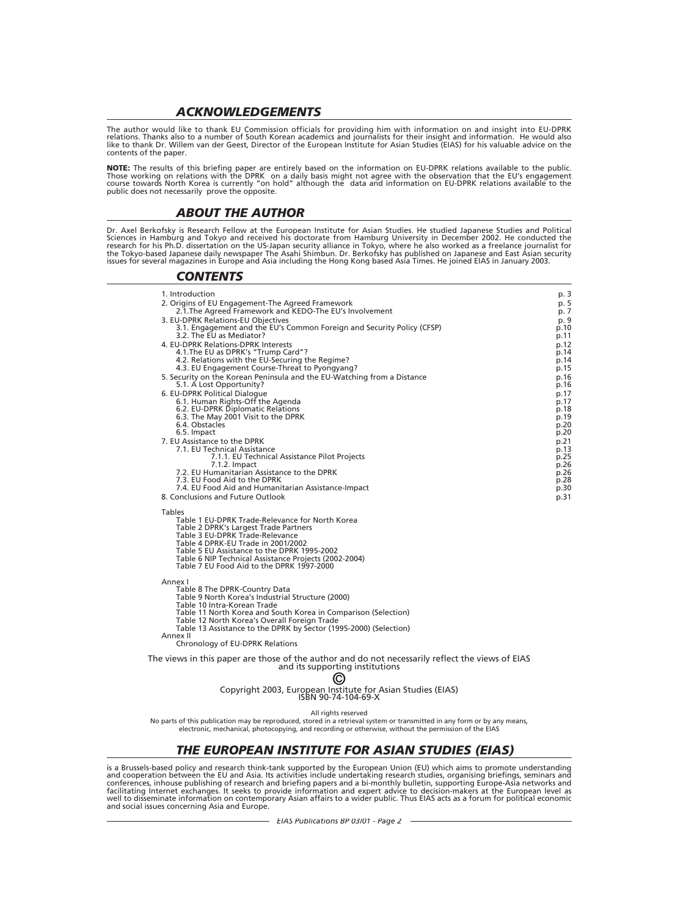#### *ACKNOWLEDGEMENTS*

The author would like to thank EU Commission officials for providing him with information on and insight into EU-DPRK relations. Thanks also to a number of South Korean academics and journalists for their insight and information. He would also like to thank Dr. Willem van der Geest, Director of the European Institute for Asian Studies (EIAS) for his valuable advice on the contents of the paper.

**NOTE:** The results of this briefing paper are entirely based on the information on EU-DPRK relations available to the public.<br>Those working on relations with the DPRK on a daily basis might not agree with the observation course towards North Korea is currently "on hold" although the data and information on EU-DPRK relations available to the public does not necessarily prove the opposite.

#### *ABOUT THE AUTHOR*

Dr. Axel Berkofsky is Research Fellow at the European Institute for Asian Studies. He studied Japanese Studies and Political Sciences in Hamburg and Tokyo and received his doctorate from Hamburg University in December 2002. He conducted the research for his Ph.D. dissertation on the US-Japan security alliance in Tokyo, where he also worked as a freelance journalist for the Tokyo-based Japanese daily newspaper The Asahi Shimbun. Dr. Berkofsky has published on Japanese and East Asian security issues for several magazines in Europe and Asia including the Hong Kong based Asia Times. He joined EIAS in January 2003.

#### *CONTENTS*

| 1. Introduction                                                         | p. 3         |
|-------------------------------------------------------------------------|--------------|
| 2. Origins of EU Engagement-The Agreed Framework                        | p. 5         |
| 2.1. The Agreed Framework and KEDO-The EU's Involvement                 | p. 7         |
| 3. EU-DPRK Relations-EU Objectives                                      | p. 9         |
| 3.1. Engagement and the EU's Common Foreign and Security Policy (CFSP)  | p.10         |
| 3.2. The EU as Mediator?                                                | p.11         |
| 4. EU-DPRK Relations-DPRK Interests                                     | p.12         |
| 4.1. The EU as DPRK's "Trump Card"?                                     | p.14         |
| 4.2. Relations with the EU-Securing the Regime?                         | p.14         |
| 4.3. EU Engagement Course-Threat to Pyongyang?                          | p.15         |
| 5. Security on the Korean Peninsula and the EU-Watching from a Distance | p.16         |
| 5.1. A Lost Opportunity?                                                | p.16         |
| 6. EU-DPRK Political Dialogue                                           | p.17         |
| 6.1. Human Rights-Off the Agenda<br>6.2. EU-DPRK Diplomatic Relations   | p.17<br>p.18 |
| 6.3. The May 2001 Visit to the DPRK                                     | p.19         |
| 6.4. Obstacles                                                          | p.20         |
| 6.5. Impact                                                             | p.20         |
| 7. EU Assistance to the DPRK                                            | p.21         |
| 7.1. EU Technical Assistance                                            | p.13         |
| 7.1.1. EU Technical Assistance Pilot Projects                           | p.25         |
| 7.1.2. Impact                                                           | p.26         |
| 7.2. EU Humanitarian Assistance to the DPRK                             | p.26         |
| 7.3. EU Food Aid to the DPRK                                            | p.28         |
| 7.4. EU Food Aid and Humanitarian Assistance-Impact                     | p.30         |
| 8. Conclusions and Future Outlook                                       | p.31         |
| <b>Tables</b>                                                           |              |
| Table 1 EU-DPRK Trade-Relevance for North Korea                         |              |
| Table 2 DPRK's Largest Trade Partners                                   |              |
| Table 3 EU-DPRK Trade-Relevance                                         |              |
| Table 4 DPRK-EU Trade in 2001/2002                                      |              |
| Table 5 EU Assistance to the DPRK 1995-2002                             |              |
| Table 6 NIP Technical Assistance Projects (2002-2004)                   |              |
| Table 7 EU Food Aid to the DPRK 1997-2000                               |              |
| Annex I                                                                 |              |
| Table 8 The DPRK-Country Data                                           |              |
| Table 9 North Korea's Industrial Structure (2000)                       |              |
| Tablo 10 Intra Koroan Trado                                             |              |

Intra-Korean Trade

Table 11 North Korea and South Korea in Comparison (Selection)

- Table 12 North Korea's Overall Foreign Trade
- Table 13 Assistance to the DPRK by Sector (1995-2000) (Selection) Annex II
- Chronology of EU-DPRK Relations

The views in this paper are those of the author and do not necessarily reflect the views of EIAS and its supporting institutions

# ©

# Copyright 2003, European Institute for Asian Studies (EIAS)<br>ISBN 90-74-104-69-X

All rights reserved

No parts of this publication may be reproduced, stored in a retrieval system or transmitted in any form or by any means, electronic, mechanical, photocopying, and recording or otherwise, without the permission of the EIAS

## *THE EUROPEAN INSTITUTE FOR ASIAN STUDIES (EIAS)*

is a Brussels-based policy and research think-tank supported by the European Union (EU) which aims to promote understanding and cooperation between the EU and Asia. Its activities include undertaking research studies, organising briefings, seminars and conferences, inhouse publishing of research and briefing papers and a bi-monthly bulletin, supporting Europe-Asia networks and facilitating Internet exchanges. It seeks to provide information and expert advice to decision-makers at the European level as well to disseminate information on contemporary Asian affairs to a wider public. Thus EIAS acts as a forum for political economic and social issues concerning Asia and Europe.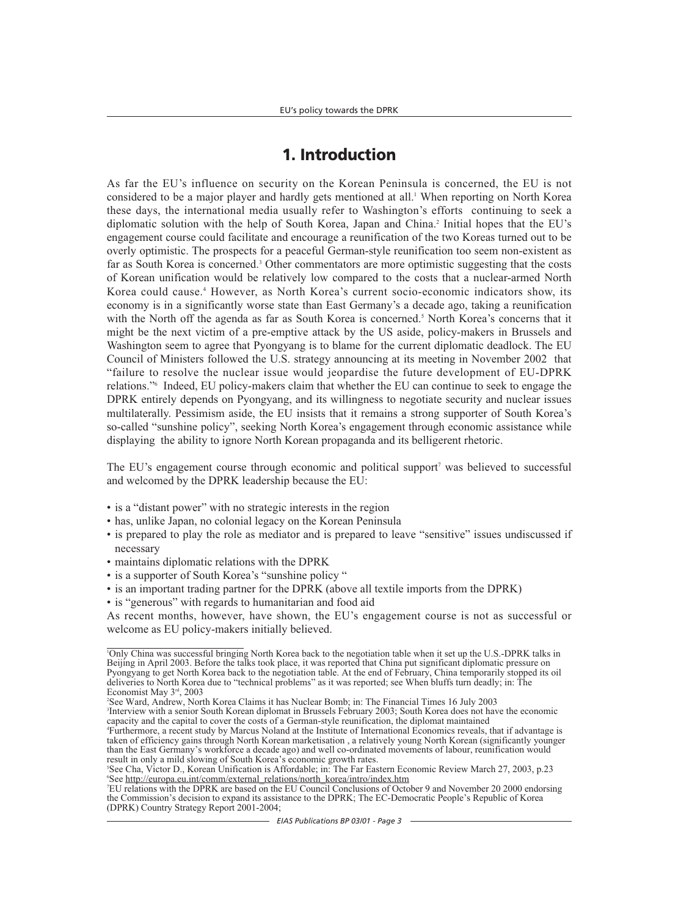# **1. Introduction**

As far the EU's influence on security on the Korean Peninsula is concerned, the EU is not considered to be a major player and hardly gets mentioned at all.<sup>1</sup> When reporting on North Korea these days, the international media usually refer to Washington's efforts continuing to seek a diplomatic solution with the help of South Korea, Japan and China.<sup>2</sup> Initial hopes that the EU's engagement course could facilitate and encourage a reunification of the two Koreas turned out to be overly optimistic. The prospects for a peaceful German-style reunification too seem non-existent as far as South Korea is concerned.<sup>3</sup> Other commentators are more optimistic suggesting that the costs of Korean unification would be relatively low compared to the costs that a nuclear-armed North Korea could cause.<sup>4</sup> However, as North Korea's current socio-economic indicators show, its economy is in a significantly worse state than East Germany's a decade ago, taking a reunification with the North off the agenda as far as South Korea is concerned.<sup>5</sup> North Korea's concerns that it might be the next victim of a pre-emptive attack by the US aside, policy-makers in Brussels and Washington seem to agree that Pyongyang is to blame for the current diplomatic deadlock. The EU Council of Ministers followed the U.S. strategy announcing at its meeting in November 2002 that "failure to resolve the nuclear issue would jeopardise the future development of EU-DPRK relations."6 Indeed, EU policy-makers claim that whether the EU can continue to seek to engage the DPRK entirely depends on Pyongyang, and its willingness to negotiate security and nuclear issues multilaterally. Pessimism aside, the EU insists that it remains a strong supporter of South Korea's so-called "sunshine policy", seeking North Korea's engagement through economic assistance while displaying the ability to ignore North Korean propaganda and its belligerent rhetoric.

The EU's engagement course through economic and political support<sup>7</sup> was believed to successful and welcomed by the DPRK leadership because the EU:

- is a "distant power" with no strategic interests in the region
- has, unlike Japan, no colonial legacy on the Korean Peninsula
- is prepared to play the role as mediator and is prepared to leave "sensitive" issues undiscussed if necessary
- maintains diplomatic relations with the DPRK
- is a supporter of South Korea's "sunshine policy "
- is an important trading partner for the DPRK (above all textile imports from the DPRK)
- is "generous" with regards to humanitarian and food aid

As recent months, however, have shown, the EU's engagement course is not as successful or welcome as EU policy-makers initially believed.

<sup>1</sup> Only China was successful bringing North Korea back to the negotiation table when it set up the U.S.-DPRK talks in Beijing in April 2003. Before the talks took place, it was reported that China put significant diplomatic pressure on Pyongyang to get North Korea back to the negotiation table. At the end of February, China temporarily stopped its oil deliveries to North Korea due to "technical problems" as it was reported; see When bluffs turn deadly; in: The Economist May 3rd, 2003

<sup>2</sup> See Ward, Andrew, North Korea Claims it has Nuclear Bomb; in: The Financial Times 16 July 2003 3 Interview with a senior South Korean diplomat in Brussels February 2003; South Korea does not have the economic

capacity and the capital to cover the costs of a German-style reunification, the diplomat maintained 4 Furthermore, a recent study by Marcus Noland at the Institute of International Economics reveals, that if advantage is taken of efficiency gains through North Korean marketisation , a relatively young North Korean (significantly younger than the East Germany's workforce a decade ago) and well co-ordinated movements of labour, reunification would result in only a mild slowing of South Korea's economic growth rates.

<sup>5</sup> See Cha, Victor D., Korean Unification is Affordable; in: The Far Eastern Economic Review March 27, 2003, p.23 6 See http://europa.eu.int/comm/external\_relations/north\_korea/intro/index.htm

<sup>7</sup> EU relations with the DPRK are based on the EU Council Conclusions of October 9 and November 20 2000 endorsing the Commission's decision to expand its assistance to the DPRK; The EC-Democratic People's Republic of Korea (DPRK) Country Strategy Report 2001-2004;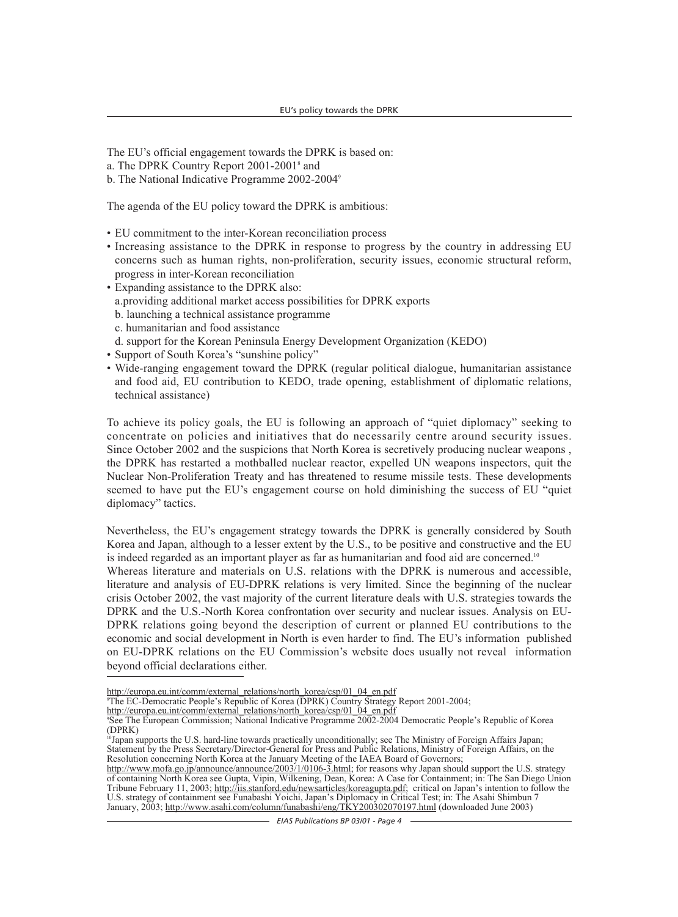The EU's official engagement towards the DPRK is based on:

- a. The DPRK Country Report 2001-20018 and
- b. The National Indicative Programme 2002-20049

The agenda of the EU policy toward the DPRK is ambitious:

- EU commitment to the inter-Korean reconciliation process
- Increasing assistance to the DPRK in response to progress by the country in addressing EU concerns such as human rights, non-proliferation, security issues, economic structural reform, progress in inter-Korean reconciliation
- Expanding assistance to the DPRK also: a.providing additional market access possibilities for DPRK exports b. launching a technical assistance programme
	- c. humanitarian and food assistance
	- d. support for the Korean Peninsula Energy Development Organization (KEDO)
- Support of South Korea's "sunshine policy"
- Wide-ranging engagement toward the DPRK (regular political dialogue, humanitarian assistance and food aid, EU contribution to KEDO, trade opening, establishment of diplomatic relations, technical assistance)

To achieve its policy goals, the EU is following an approach of "quiet diplomacy" seeking to concentrate on policies and initiatives that do necessarily centre around security issues. Since October 2002 and the suspicions that North Korea is secretively producing nuclear weapons , the DPRK has restarted a mothballed nuclear reactor, expelled UN weapons inspectors, quit the Nuclear Non-Proliferation Treaty and has threatened to resume missile tests. These developments seemed to have put the EU's engagement course on hold diminishing the success of EU "quiet diplomacy" tactics.

Nevertheless, the EU's engagement strategy towards the DPRK is generally considered by South Korea and Japan, although to a lesser extent by the U.S., to be positive and constructive and the EU is indeed regarded as an important player as far as humanitarian and food aid are concerned.<sup>10</sup>

Whereas literature and materials on U.S. relations with the DPRK is numerous and accessible, literature and analysis of EU-DPRK relations is very limited. Since the beginning of the nuclear crisis October 2002, the vast majority of the current literature deals with U.S. strategies towards the DPRK and the U.S.-North Korea confrontation over security and nuclear issues. Analysis on EU-DPRK relations going beyond the description of current or planned EU contributions to the economic and social development in North is even harder to find. The EU's information published on EU-DPRK relations on the EU Commission's website does usually not reveal information beyond official declarations either.

http://europa.eu.int/comm/external\_relations/north\_korea/csp/01\_04\_en.pdf

<sup>8</sup> The EC-Democratic People's Republic of Korea (DPRK) Country Strategy Report 2001-2004;

http://europa.eu.int/comm/external\_relations/north\_korea/csp/01\_04\_en.pdf

<sup>9</sup> See The European Commission; National Indicative Programme 2002-2004 Democratic People's Republic of Korea (DPRK)

<sup>&</sup>lt;sup>10</sup>Japan supports the U.S. hard-line towards practically unconditionally; see The Ministry of Foreign Affairs Japan; Statement by the Press Secretary/Director-General for Press and Public Relations, Ministry of Foreign Affairs, on the Resolution concerning North Korea at the January Meeting of the IAEA Board of Governors;

http://www.mofa.go.jp/announce/announce/2003/1/0106-3.html; for reasons why Japan should support the U.S. strategy of containing North Korea see Gupta, Vipin, Wilkening, Dean, Korea: A Case for Containment; in: The San Diego Union Tribune February 11, 2003; http://iis.stanford.edu/newsarticles/koreagupta.pdf; critical on Japan's intention to follow the U.S. strategy of containment see Funabashi Yoichi, Japan's Diplomacy in Critical Test; in: The Asahi Shimbun 7 January, 2003; http://www.asahi.com/column/funabashi/eng/TKY200302070197.html (downloaded June 2003)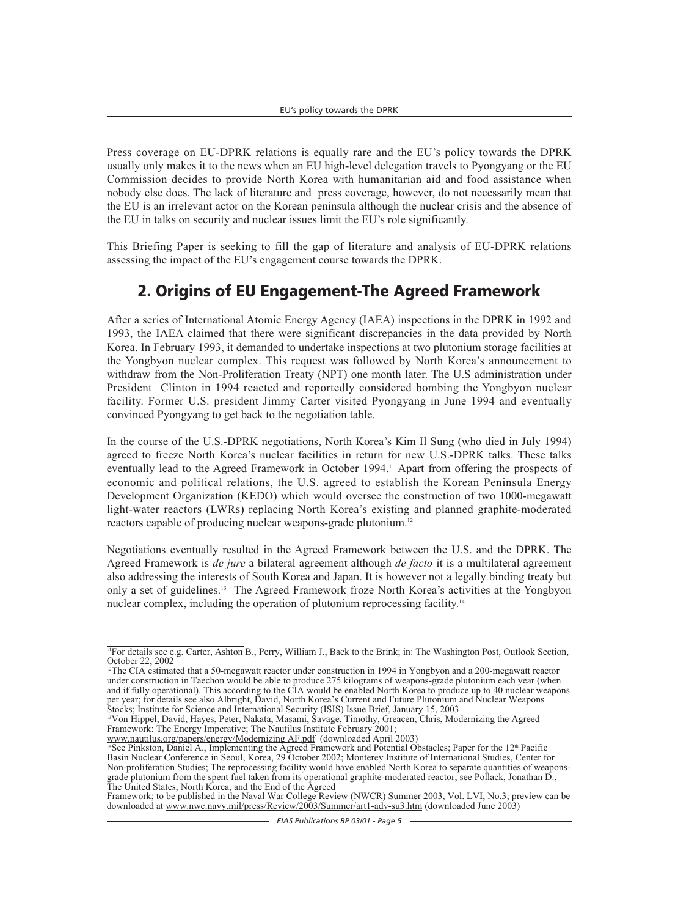Press coverage on EU-DPRK relations is equally rare and the EU's policy towards the DPRK usually only makes it to the news when an EU high-level delegation travels to Pyongyang or the EU Commission decides to provide North Korea with humanitarian aid and food assistance when nobody else does. The lack of literature and press coverage, however, do not necessarily mean that the EU is an irrelevant actor on the Korean peninsula although the nuclear crisis and the absence of the EU in talks on security and nuclear issues limit the EU's role significantly.

This Briefing Paper is seeking to fill the gap of literature and analysis of EU-DPRK relations assessing the impact of the EU's engagement course towards the DPRK.

# **2. Origins of EU Engagement-The Agreed Framework**

After a series of International Atomic Energy Agency (IAEA) inspections in the DPRK in 1992 and 1993, the IAEA claimed that there were significant discrepancies in the data provided by North Korea. In February 1993, it demanded to undertake inspections at two plutonium storage facilities at the Yongbyon nuclear complex. This request was followed by North Korea's announcement to withdraw from the Non-Proliferation Treaty (NPT) one month later. The U.S administration under President Clinton in 1994 reacted and reportedly considered bombing the Yongbyon nuclear facility. Former U.S. president Jimmy Carter visited Pyongyang in June 1994 and eventually convinced Pyongyang to get back to the negotiation table.

In the course of the U.S.-DPRK negotiations, North Korea's Kim Il Sung (who died in July 1994) agreed to freeze North Korea's nuclear facilities in return for new U.S.-DPRK talks. These talks eventually lead to the Agreed Framework in October 1994.<sup>11</sup> Apart from offering the prospects of economic and political relations, the U.S. agreed to establish the Korean Peninsula Energy Development Organization (KEDO) which would oversee the construction of two 1000-megawatt light-water reactors (LWRs) replacing North Korea's existing and planned graphite-moderated reactors capable of producing nuclear weapons-grade plutonium.<sup>12</sup>

Negotiations eventually resulted in the Agreed Framework between the U.S. and the DPRK. The Agreed Framework is *de jure* a bilateral agreement although *de facto* it is a multilateral agreement also addressing the interests of South Korea and Japan. It is however not a legally binding treaty but only a set of guidelines.13 The Agreed Framework froze North Korea's activities at the Yongbyon nuclear complex, including the operation of plutonium reprocessing facility.<sup>14</sup>

<sup>11</sup>For details see e.g. Carter, Ashton B., Perry, William J., Back to the Brink; in: The Washington Post, Outlook Section, October 22, 2002

 $12$ The CIA estimated that a 50-megawatt reactor under construction in 1994 in Yongbyon and a 200-megawatt reactor under construction in Taechon would be able to produce 275 kilograms of weapons-grade plutonium each year (when and if fully operational). This according to the CIA would be enabled North Korea to produce up to 40 nuclear weapons per year; for details see also Albright, David, North Korea's Current and Future Plutonium and Nuclear Weapons Stocks; Institute for Science and International Security (ISIS) Issue Brief, January 15, 2003

<sup>13</sup>Von Hippel, David, Hayes, Peter, Nakata, Masami, Savage, Timothy, Greacen, Chris, Modernizing the Agreed Framework: The Energy Imperative; The Nautilus Institute February 2001;

www.nautilus.org/papers/energy/Modernizing AF.pdf (downloaded April 2003)<br><sup>14</sup>See Pinkston, Daniel A., Implementing the Agreed Framework and Potential Obstacles; Paper for the 12<sup>th</sup> Pacific Basin Nuclear Conference in Seoul, Korea, 29 October 2002; Monterey Institute of International Studies, Center for Non-proliferation Studies; The reprocessing facility would have enabled North Korea to separate quantities of weaponsgrade plutonium from the spent fuel taken from its operational graphite-moderated reactor; see Pollack, Jonathan D., The United States, North Korea, and the End of the  $\overline{A}$  greed

Framework; to be published in the Naval War College Review (NWCR) Summer 2003, Vol. LVI, No.3; preview can be downloaded at www.nwc.navy.mil/press/Review/2003/Summer/art1-adv-su3.htm (downloaded June 2003)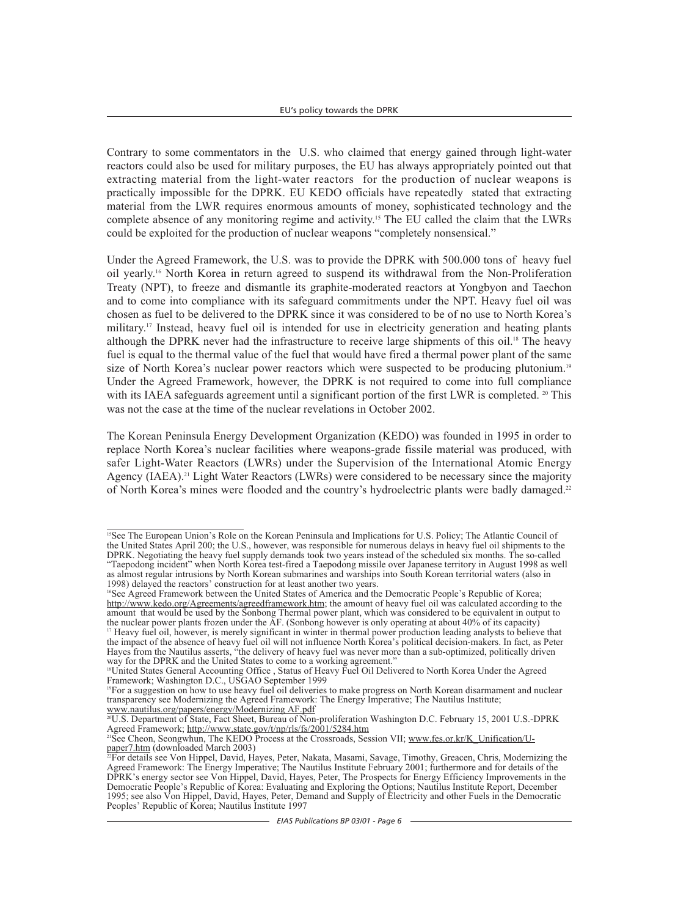Contrary to some commentators in the U.S. who claimed that energy gained through light-water reactors could also be used for military purposes, the EU has always appropriately pointed out that extracting material from the light-water reactors for the production of nuclear weapons is practically impossible for the DPRK. EU KEDO officials have repeatedly stated that extracting material from the LWR requires enormous amounts of money, sophisticated technology and the complete absence of any monitoring regime and activity.15 The EU called the claim that the LWRs could be exploited for the production of nuclear weapons "completely nonsensical."

Under the Agreed Framework, the U.S. was to provide the DPRK with 500.000 tons of heavy fuel oil yearly.16 North Korea in return agreed to suspend its withdrawal from the Non-Proliferation Treaty (NPT), to freeze and dismantle its graphite-moderated reactors at Yongbyon and Taechon and to come into compliance with its safeguard commitments under the NPT. Heavy fuel oil was chosen as fuel to be delivered to the DPRK since it was considered to be of no use to North Korea's military.17 Instead, heavy fuel oil is intended for use in electricity generation and heating plants although the DPRK never had the infrastructure to receive large shipments of this oil.<sup>18</sup> The heavy fuel is equal to the thermal value of the fuel that would have fired a thermal power plant of the same size of North Korea's nuclear power reactors which were suspected to be producing plutonium.<sup>19</sup> Under the Agreed Framework, however, the DPRK is not required to come into full compliance with its IAEA safeguards agreement until a significant portion of the first LWR is completed. <sup>20</sup> This was not the case at the time of the nuclear revelations in October 2002.

The Korean Peninsula Energy Development Organization (KEDO) was founded in 1995 in order to replace North Korea's nuclear facilities where weapons-grade fissile material was produced, with safer Light-Water Reactors (LWRs) under the Supervision of the International Atomic Energy Agency (IAEA).<sup>21</sup> Light Water Reactors (LWRs) were considered to be necessary since the majority of North Korea's mines were flooded and the country's hydroelectric plants were badly damaged.<sup>22</sup>

<sup>&</sup>lt;sup>15</sup>See The European Union's Role on the Korean Peninsula and Implications for U.S. Policy; The Atlantic Council of the United States April 200; the U.S., however, was responsible for numerous delays in heavy fuel oil shipments to the DPRK. Negotiating the heavy fuel supply demands took two years instead of the scheduled six months. The so-called "Taepodong incident" when North Korea test-fired a Taepodong missile over Japanese territory in August 1998 as well as almost regular intrusions by North Korean submarines and warships into South Korean territorial waters (also in 1998) delayed the reactors' construction for at least another two years.

<sup>16</sup>See Agreed Framework between the United States of America and the Democratic People's Republic of Korea; http://www.kedo.org/Agreements/agreedframework.htm; the amount of heavy fuel oil was calculated according to the amount that would be used by the Sonbong Thermal power plant, which was considered to be equivalent in output to the nuclear power plants frozen under the AF. (Sonbong however is only operating at about 40% of its capacity)

<sup>&</sup>lt;sup>17</sup> Heavy fuel oil, however, is merely significant in winter in thermal power production leading analysts to believe that the impact of the absence of heavy fuel oil will not influence North Korea's political decision-makers. In fact, as Peter Hayes from the Nautilus asserts, "the delivery of heavy fuel was never more than a sub-optimized, politically driven way for the DPRK and the United States to come to a working agreement."

<sup>&</sup>lt;sup>18</sup>United States General Accounting Office, Status of Heavy Fuel Oil Delivered to North Korea Under the Agreed Framework; Washington D.C., USGAO September 1999

<sup>&</sup>lt;sup>19</sup>For a suggestion on how to use heavy fuel oil deliveries to make progress on North Korean disarmament and nuclear transparency see Modernizing the Agreed Framework: The Energy Imperative; The Nautilus Institute; www.nautilus.org/papers/energy/Modernizing AF.pdf

<sup>20</sup>U.S. Department of State, Fact Sheet, Bureau of Non-proliferation Washington D.C. February 15, 2001 U.S.-DPRK Agreed Framework; http://www.state.gov/t/np/rls/fs/2001/5284.htm

<sup>&</sup>lt;sup>21</sup>See Cheon, Seongwhun, The KEDO Process at the Crossroads, Session VII; www.fes.or.kr/K\_Unification/U-<br>paper7.htm (downloaded March 2003)

 $\frac{25}{22}$ For details see Von Hippel, David, Hayes, Peter, Nakata, Masami, Savage, Timothy, Greacen, Chris, Modernizing the Agreed Framework: The Energy Imperative; The Nautilus Institute February 2001; furthermore and for details of the DPRK's energy sector see Von Hippel, David, Hayes, Peter, The Prospects for Energy Efficiency Improvements in the Democratic People's Republic of Korea: Evaluating and Exploring the Options; Nautilus Institute Report, December 1995; see also Von Hippel, David, Hayes, Peter, Demand and Supply of Electricity and other Fuels in the Democratic Peoples' Republic of Korea; Nautilus Institute 1997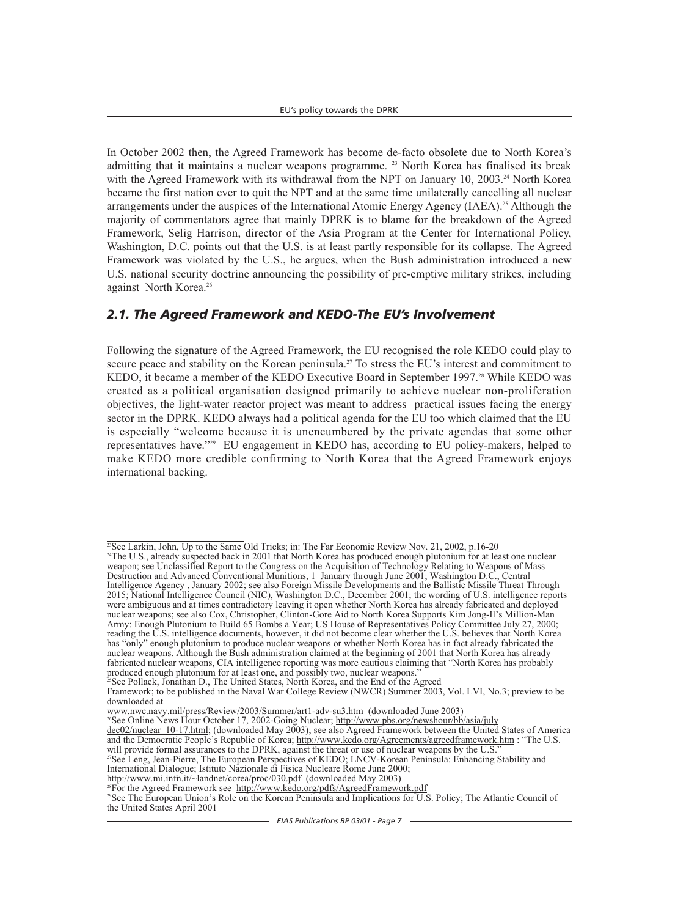In October 2002 then, the Agreed Framework has become de-facto obsolete due to North Korea's admitting that it maintains a nuclear weapons programme. <sup>23</sup> North Korea has finalised its break with the Agreed Framework with its withdrawal from the NPT on January 10, 2003.<sup>24</sup> North Korea became the first nation ever to quit the NPT and at the same time unilaterally cancelling all nuclear arrangements under the auspices of the International Atomic Energy Agency (IAEA).<sup>25</sup> Although the majority of commentators agree that mainly DPRK is to blame for the breakdown of the Agreed Framework, Selig Harrison, director of the Asia Program at the Center for International Policy, Washington, D.C. points out that the U.S. is at least partly responsible for its collapse. The Agreed Framework was violated by the U.S., he argues, when the Bush administration introduced a new U.S. national security doctrine announcing the possibility of pre-emptive military strikes, including against North Korea.<sup>26</sup>

### *2.1. The Agreed Framework and KEDO-The EU's Involvement*

Following the signature of the Agreed Framework, the EU recognised the role KEDO could play to secure peace and stability on the Korean peninsula.<sup>27</sup> To stress the EU's interest and commitment to KEDO, it became a member of the KEDO Executive Board in September 1997.<sup>28</sup> While KEDO was created as a political organisation designed primarily to achieve nuclear non-proliferation objectives, the light-water reactor project was meant to address practical issues facing the energy sector in the DPRK. KEDO always had a political agenda for the EU too which claimed that the EU is especially "welcome because it is unencumbered by the private agendas that some other representatives have."29 EU engagement in KEDO has, according to EU policy-makers, helped to make KEDO more credible confirming to North Korea that the Agreed Framework enjoys international backing.

<sup>24</sup>The U.S., already suspected back in 2001 that North Korea has produced enough plutonium for at least one nuclear weapon; see Unclassified Report to the Congress on the Acquisition of Technology Relating to Weapons of Mass Destruction and Advanced Conventional Munitions, 1 January through June 2001; Washington D.C., Central Intelligence Agency , January 2002; see also Foreign Missile Developments and the Ballistic Missile Threat Through 2015; National Intelligence Council (NIC), Washington D.C., December 2001; the wording of U.S. intelligence reports were ambiguous and at times contradictory leaving it open whether North Korea has already fabricated and deployed nuclear weapons; see also Cox, Christopher, Clinton-Gore Aid to North Korea Supports Kim Jong-Il's Million-Man Army: Enough Plutonium to Build 65 Bombs a Year; US House of Representatives Policy Committee July 27, 2000; reading the U.S. intelligence documents, however, it did not become clear whether the U.S. believes that North Korea has "only" enough plutonium to produce nuclear weapons or whether North Korea has in fact already fabricated the nuclear weapons. Although the Bush administration claimed at the beginning of 2001 that North Korea has already fabricated nuclear weapons, CIA intelligence reporting was more cautious claiming that "North Korea has probably produced enough plutonium for at least one, and possibly two, nuclear weapons."

 $\frac{23}{25}$ See Larkin, John, Up to the Same Old Tricks; in: The Far Economic Review Nov. 21, 2002, p.16-20

<sup>&</sup>lt;sup>25</sup>See Pollack, Jonathan D., The United States, North Korea, and the End of the Agreed Framework; to be published in the Naval War College Review (NWCR) Summer 2003, Vol. LVI, No.3; preview to be

downloaded at<br>www.nwc.navy.mil/press/Review/2003/Summer/art1-adv-su3.htm (downloaded June 2003)

www.nwc.navy.mil/press/Review/2003/Summer/art1-adv-su3.htm (downloaded June 2003)<br><sup>26</sup>See Online News Hour October 17, 2002-Going Nuclear; <u>http://www.pbs.org/newshour/bb/asia/july</u>

dec02/nuclear\_10-17.html; (downloaded May 2003); see also Agreed Framework between the United States of America and the Democratic People's Republic of Korea; http://www.kedo.org/Agreements/agreedframework.htm : "The U.S. will provide formal assurances to the DPRK, against the threat or use of nuclear weapons by the U.S.

<sup>27</sup>See Leng, Jean-Pierre, The European Perspectives of KEDO; LNCV-Korean Peninsula: Enhancing Stability and International Dialogue; Istituto Nazionale di Fisica Nucleare Rome June 2000;<br>http://www.mi.infn.it/~landnet/corea/proc/030.pdf (downloaded May 2003)

 $\frac{1}{28}$ For the Agreed Framework see http://www.kedo.org/pdfs/AgreedFramework.pdf

<sup>&</sup>lt;sup>29</sup>See The European Union's Role on the Korean Peninsula and Implications for U.S. Policy; The Atlantic Council of the United States April 2001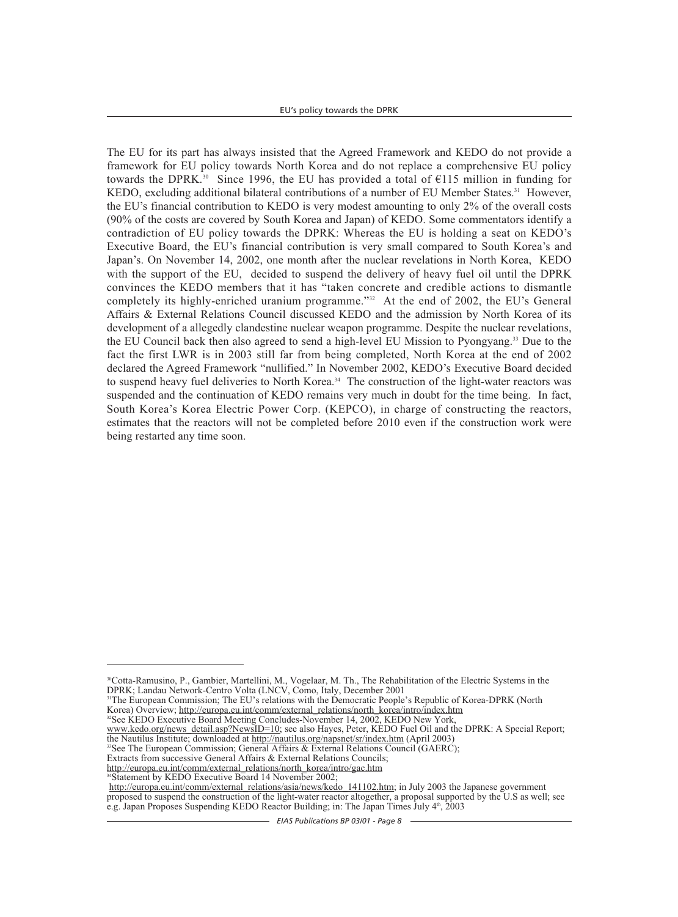The EU for its part has always insisted that the Agreed Framework and KEDO do not provide a framework for EU policy towards North Korea and do not replace a comprehensive EU policy towards the DPRK.<sup>30</sup> Since 1996, the EU has provided a total of  $\epsilon$ 115 million in funding for KEDO, excluding additional bilateral contributions of a number of EU Member States.<sup>31</sup> However, the EU's financial contribution to KEDO is very modest amounting to only 2% of the overall costs (90% of the costs are covered by South Korea and Japan) of KEDO. Some commentators identify a contradiction of EU policy towards the DPRK: Whereas the EU is holding a seat on KEDO's Executive Board, the EU's financial contribution is very small compared to South Korea's and Japan's. On November 14, 2002, one month after the nuclear revelations in North Korea, KEDO with the support of the EU, decided to suspend the delivery of heavy fuel oil until the DPRK convinces the KEDO members that it has "taken concrete and credible actions to dismantle completely its highly-enriched uranium programme."<sup>32</sup> At the end of 2002, the EU's General Affairs & External Relations Council discussed KEDO and the admission by North Korea of its development of a allegedly clandestine nuclear weapon programme. Despite the nuclear revelations, the EU Council back then also agreed to send a high-level EU Mission to Pyongyang.33 Due to the fact the first LWR is in 2003 still far from being completed, North Korea at the end of 2002 declared the Agreed Framework "nullified." In November 2002, KEDO's Executive Board decided to suspend heavy fuel deliveries to North Korea.<sup>34</sup> The construction of the light-water reactors was suspended and the continuation of KEDO remains very much in doubt for the time being. In fact, South Korea's Korea Electric Power Corp. (KEPCO), in charge of constructing the reactors, estimates that the reactors will not be completed before 2010 even if the construction work were being restarted any time soon.

<sup>31</sup>The European Commission; The EU's relations with the Democratic People's Republic of Korea-DPRK (North Korea) Overview; http://europa.eu.int/comm/external\_relations/north\_korea/intro/index.htm

- <sup>32</sup>See KEDO Executive Board Meeting Concludes-November 14, 2002, KEDO New York,
- www.kedo.org/news\_detail.asp?NewsID=10; see also Hayes, Peter, KEDO Fuel Oil and the DPRK: A Special Report; the Nautilus Institute; downloaded at http://nautilus.org/napsnet/sr/index.htm (April 2003)
- <sup>33</sup>See The European Commission; General Affairs & External Relations Council (GAERC);
- Extracts from successive General Affairs & External Relations Councils;
- http://europa.eu.int/comm/external\_relations/north\_korea/intro/gac.htm  $34$ Statement by KEDO Executive Board 14 November 2002;

http://europa.eu.int/comm/external\_relations/asia/news/kedo\_141102.htm; in July 2003 the Japanese government proposed to suspend the construction of the light-water reactor altogether, a proposal supported by the U.S as well; see e.g. Japan Proposes Suspending KEDO Reactor Building; in: The Japan Times July  $4<sup>th</sup>$ , 2003

<sup>30</sup>Cotta-Ramusino, P., Gambier, Martellini, M., Vogelaar, M. Th., The Rehabilitation of the Electric Systems in the DPRK; Landau Network-Centro Volta (LNCV, Como, Italy, December 2001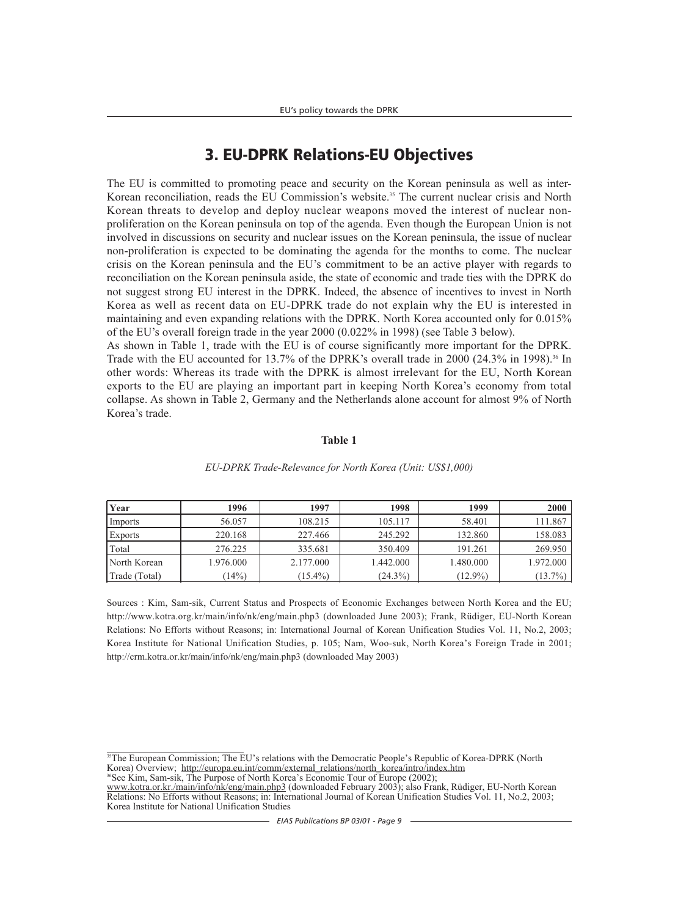# **3. EU-DPRK Relations-EU Objectives**

The EU is committed to promoting peace and security on the Korean peninsula as well as inter-Korean reconciliation, reads the EU Commission's website.<sup>35</sup> The current nuclear crisis and North Korean threats to develop and deploy nuclear weapons moved the interest of nuclear nonproliferation on the Korean peninsula on top of the agenda. Even though the European Union is not involved in discussions on security and nuclear issues on the Korean peninsula, the issue of nuclear non-proliferation is expected to be dominating the agenda for the months to come. The nuclear crisis on the Korean peninsula and the EU's commitment to be an active player with regards to reconciliation on the Korean peninsula aside, the state of economic and trade ties with the DPRK do not suggest strong EU interest in the DPRK. Indeed, the absence of incentives to invest in North Korea as well as recent data on EU-DPRK trade do not explain why the EU is interested in maintaining and even expanding relations with the DPRK. North Korea accounted only for 0.015% of the EU's overall foreign trade in the year 2000 (0.022% in 1998) (see Table 3 below).

As shown in Table 1, trade with the EU is of course significantly more important for the DPRK. Trade with the EU accounted for 13.7% of the DPRK's overall trade in 2000 (24.3% in 1998).<sup>36</sup> In other words: Whereas its trade with the DPRK is almost irrelevant for the EU, North Korean exports to the EU are playing an important part in keeping North Korea's economy from total collapse. As shown in Table 2, Germany and the Netherlands alone account for almost 9% of North Korea's trade.

#### **Table 1**

| Year           | 1996      | 1997       | 1998       | 1999       | 2000       |
|----------------|-----------|------------|------------|------------|------------|
| Imports        | 56.057    | 108.215    | 105.117    | 58.401     | 111.867    |
| <b>Exports</b> | 220.168   | 227.466    | 245.292    | 132.860    | 158.083    |
| Total          | 276.225   | 335.681    | 350.409    | 191.261    | 269.950    |
| North Korean   | 1.976.000 | 2.177.000  | 1.442.000  | 1.480.000  | 1.972.000  |
| Trade (Total)  | $14\%)$   | $(15.4\%)$ | $(24.3\%)$ | $(12.9\%)$ | $(13.7\%)$ |

#### *EU-DPRK Trade-Relevance for North Korea (Unit: US\$1,000)*

Sources : Kim, Sam-sik, Current Status and Prospects of Economic Exchanges between North Korea and the EU; http://www.kotra.org.kr/main/info/nk/eng/main.php3 (downloaded June 2003); Frank, Rüdiger, EU-North Korean Relations: No Efforts without Reasons; in: International Journal of Korean Unification Studies Vol. 11, No.2, 2003; Korea Institute for National Unification Studies, p. 105; Nam, Woo-suk, North Korea's Foreign Trade in 2001; http://crm.kotra.or.kr/main/info/nk/eng/main.php3 (downloaded May 2003)

<sup>35</sup>The European Commission; The EU's relations with the Democratic People's Republic of Korea-DPRK (North Korea) Overview; http://europa.eu.int/comm/external\_relations/north\_korea/intro/index.htm

<sup>36</sup>See Kim, Sam-sik, The Purpose of North Korea's Economic Tour of Europe (2002);

www.kotra.or.kr./main/info/nk/eng/main.php3 (downloaded February 2003); also Frank, Rüdiger, EU-North Korean Relations: No Efforts without Reasons; in: International Journal of Korean Unification Studies Vol. 11, No.2, 2003; Korea Institute for National Unification Studies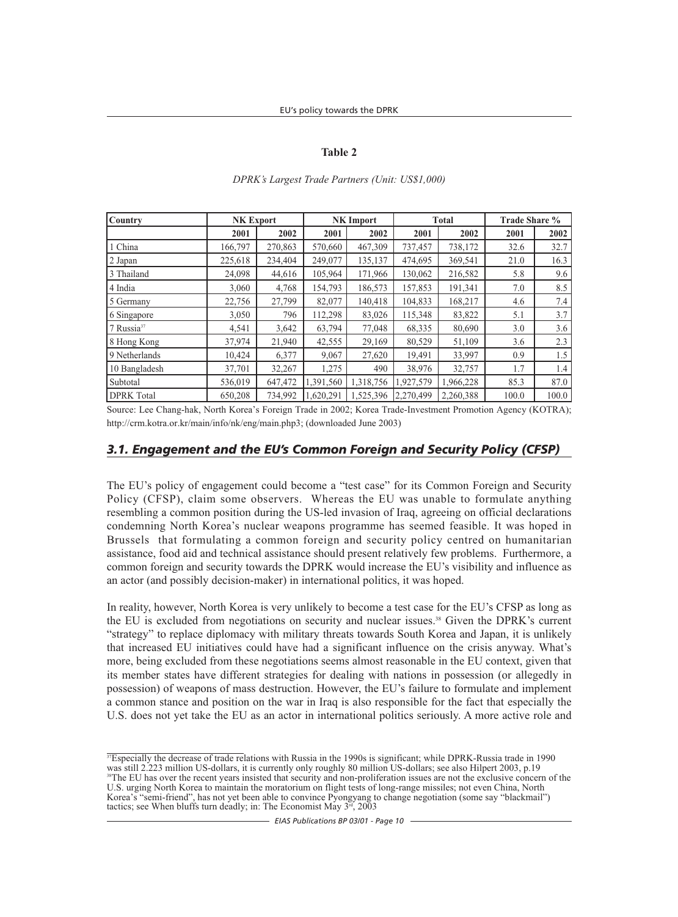#### **Table 2**

| <b>Country</b>         | <b>NK Export</b> |         |           | <b>NK</b> Import |           | <b>Total</b> | Trade Share % |       |
|------------------------|------------------|---------|-----------|------------------|-----------|--------------|---------------|-------|
|                        | 2001             | 2002    | 2001      | 2002             | 2001      | 2002         | 2001          | 2002  |
| 1 China                | 166,797          | 270,863 | 570,660   | 467,309          | 737,457   | 738,172      | 32.6          | 32.7  |
| 2 Japan                | 225,618          | 234,404 | 249,077   | 135,137          | 474,695   | 369,541      | 21.0          | 16.3  |
| 3 Thailand             | 24,098           | 44,616  | 105,964   | 171,966          | 130,062   | 216,582      | 5.8           | 9.6   |
| 4 India                | 3,060            | 4,768   | 154,793   | 186,573          | 157,853   | 191,341      | 7.0           | 8.5   |
| 5 Germany              | 22,756           | 27,799  | 82,077    | 140,418          | 104.833   | 168,217      | 4.6           | 7.4   |
| 6 Singapore            | 3,050            | 796     | 112,298   | 83,026           | 115,348   | 83,822       | 5.1           | 3.7   |
| 7 Russia <sup>37</sup> | 4,541            | 3,642   | 63,794    | 77,048           | 68,335    | 80,690       | 3.0           | 3.6   |
| 8 Hong Kong            | 37,974           | 21,940  | 42,555    | 29,169           | 80,529    | 51,109       | 3.6           | 2.3   |
| 9 Netherlands          | 10,424           | 6,377   | 9,067     | 27,620           | 19,491    | 33,997       | 0.9           | 1.5   |
| 10 Bangladesh          | 37,701           | 32,267  | 1,275     | 490              | 38,976    | 32,757       | 1.7           | 1.4   |
| Subtotal               | 536,019          | 647,472 | 1,391,560 | 1,318,756        | 1,927,579 | 1,966,228    | 85.3          | 87.0  |
| <b>DPRK</b> Total      | 650,208          | 734,992 | 1,620,291 | 1,525,396        | 2,270,499 | 2,260,388    | 100.0         | 100.0 |

#### *DPRK's Largest Trade Partners (Unit: US\$1,000)*

Source: Lee Chang-hak, North Korea's Foreign Trade in 2002; Korea Trade-Investment Promotion Agency (KOTRA); http://crm.kotra.or.kr/main/info/nk/eng/main.php3; (downloaded June 2003)

#### *3.1. Engagement and the EU's Common Foreign and Security Policy (CFSP)*

The EU's policy of engagement could become a "test case" for its Common Foreign and Security Policy (CFSP), claim some observers. Whereas the EU was unable to formulate anything resembling a common position during the US-led invasion of Iraq, agreeing on official declarations condemning North Korea's nuclear weapons programme has seemed feasible. It was hoped in Brussels that formulating a common foreign and security policy centred on humanitarian assistance, food aid and technical assistance should present relatively few problems. Furthermore, a common foreign and security towards the DPRK would increase the EU's visibility and influence as an actor (and possibly decision-maker) in international politics, it was hoped.

In reality, however, North Korea is very unlikely to become a test case for the EU's CFSP as long as the EU is excluded from negotiations on security and nuclear issues.<sup>38</sup> Given the DPRK's current "strategy" to replace diplomacy with military threats towards South Korea and Japan, it is unlikely that increased EU initiatives could have had a significant influence on the crisis anyway. What's more, being excluded from these negotiations seems almost reasonable in the EU context, given that its member states have different strategies for dealing with nations in possession (or allegedly in possession) of weapons of mass destruction. However, the EU's failure to formulate and implement a common stance and position on the war in Iraq is also responsible for the fact that especially the U.S. does not yet take the EU as an actor in international politics seriously. A more active role and

 $\frac{37}{2}$ Specially the decrease of trade relations with Russia in the 1990s is significant; while DPRK-Russia trade in 1990 was still 2.223 million US-dollars, it is currently only roughly 80 million US-dollars; see also Hilpert 2003, p.19 <sup>38</sup>The EU has over the recent years insisted that security and non-proliferation issues are not the exclusive concern of the U.S. urging North Korea to maintain the moratorium on flight tests of long-range missiles; not even China, North Korea's "semi-friend", has not yet been able to convince Pyongyang to change negotiation (some say "blackmail") tactics; see When bluffs turn deadly; in: The Economist May  $3<sup>rd</sup>$ , 2003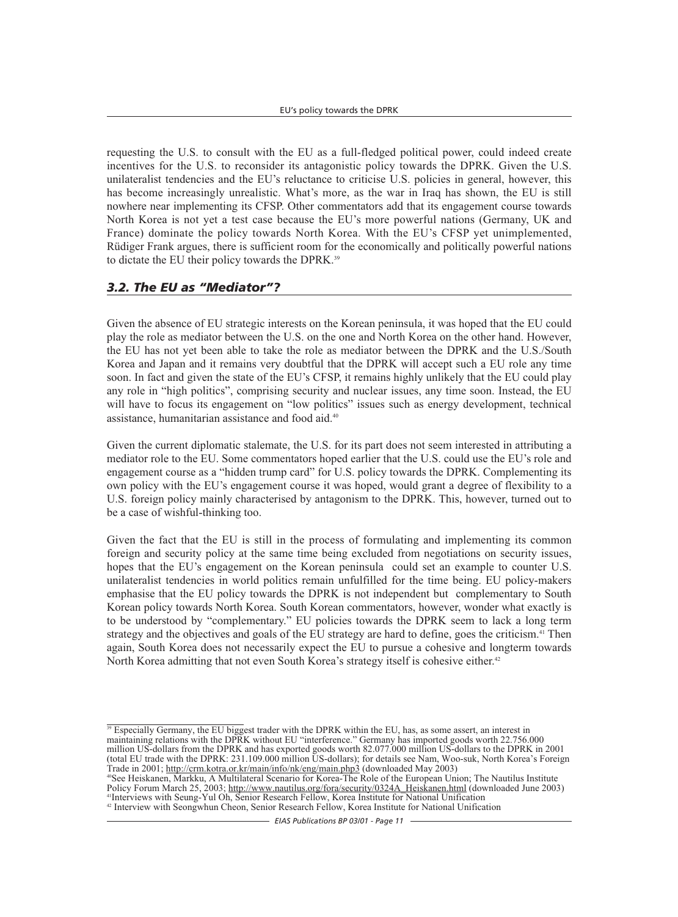requesting the U.S. to consult with the EU as a full-fledged political power, could indeed create incentives for the U.S. to reconsider its antagonistic policy towards the DPRK. Given the U.S. unilateralist tendencies and the EU's reluctance to criticise U.S. policies in general, however, this has become increasingly unrealistic. What's more, as the war in Iraq has shown, the EU is still nowhere near implementing its CFSP. Other commentators add that its engagement course towards North Korea is not yet a test case because the EU's more powerful nations (Germany, UK and France) dominate the policy towards North Korea. With the EU's CFSP yet unimplemented, Rüdiger Frank argues, there is sufficient room for the economically and politically powerful nations to dictate the EU their policy towards the DPRK.<sup>39</sup>

## *3.2. The EU as "Mediator"?*

Given the absence of EU strategic interests on the Korean peninsula, it was hoped that the EU could play the role as mediator between the U.S. on the one and North Korea on the other hand. However, the EU has not yet been able to take the role as mediator between the DPRK and the U.S./South Korea and Japan and it remains very doubtful that the DPRK will accept such a EU role any time soon. In fact and given the state of the EU's CFSP, it remains highly unlikely that the EU could play any role in "high politics", comprising security and nuclear issues, any time soon. Instead, the EU will have to focus its engagement on "low politics" issues such as energy development, technical assistance, humanitarian assistance and food aid.40

Given the current diplomatic stalemate, the U.S. for its part does not seem interested in attributing a mediator role to the EU. Some commentators hoped earlier that the U.S. could use the EU's role and engagement course as a "hidden trump card" for U.S. policy towards the DPRK. Complementing its own policy with the EU's engagement course it was hoped, would grant a degree of flexibility to a U.S. foreign policy mainly characterised by antagonism to the DPRK. This, however, turned out to be a case of wishful-thinking too.

Given the fact that the EU is still in the process of formulating and implementing its common foreign and security policy at the same time being excluded from negotiations on security issues, hopes that the EU's engagement on the Korean peninsula could set an example to counter U.S. unilateralist tendencies in world politics remain unfulfilled for the time being. EU policy-makers emphasise that the EU policy towards the DPRK is not independent but complementary to South Korean policy towards North Korea. South Korean commentators, however, wonder what exactly is to be understood by "complementary." EU policies towards the DPRK seem to lack a long term strategy and the objectives and goals of the EU strategy are hard to define, goes the criticism.<sup>41</sup> Then again, South Korea does not necessarily expect the EU to pursue a cohesive and longterm towards North Korea admitting that not even South Korea's strategy itself is cohesive either.<sup>42</sup>

<sup>39</sup> Especially Germany, the EU biggest trader with the DPRK within the EU, has, as some assert, an interest in maintaining relations with the DPRK without EU "interference." Germany has imported goods worth 22.756.000 million US-dollars from the DPRK and has exported goods worth 82.077.000 million US-dollars to the DPRK in 2001 (total EU trade with the DPRK: 231.109.000 million US-dollars); for details see Nam, Woo-suk, North Korea's Foreign<br>Trade in 2001; http://crm.kotra.or.kr/main/info/nk/eng/main.php3 (downloaded May 2003)

<sup>40</sup>See Heiskanen, Markku, A Multilateral Scenario for Korea-The Role of the European Union; The Nautilus Institute Policy Forum March 25, 2003; http://www.nautilus.org/fora/security/0324A\_Heiskanen.html (downloaded June 2003) 41Interviews with Seung-Yul Oh, Senior Research Fellow, Korea Institute for National Unification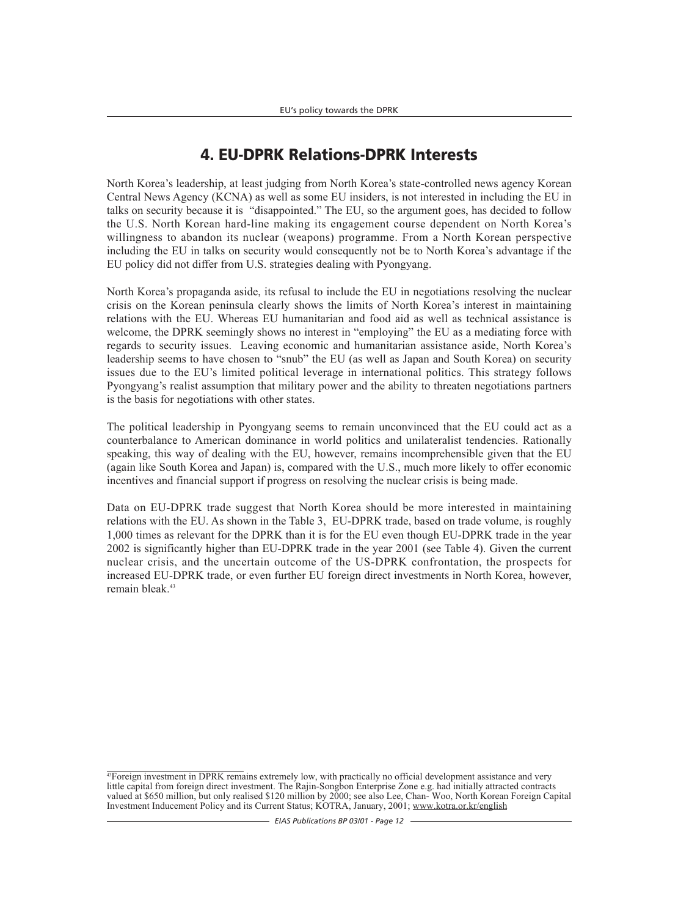# **4. EU-DPRK Relations-DPRK Interests**

North Korea's leadership, at least judging from North Korea's state-controlled news agency Korean Central News Agency (KCNA) as well as some EU insiders, is not interested in including the EU in talks on security because it is "disappointed." The EU, so the argument goes, has decided to follow the U.S. North Korean hard-line making its engagement course dependent on North Korea's willingness to abandon its nuclear (weapons) programme. From a North Korean perspective including the EU in talks on security would consequently not be to North Korea's advantage if the EU policy did not differ from U.S. strategies dealing with Pyongyang.

North Korea's propaganda aside, its refusal to include the EU in negotiations resolving the nuclear crisis on the Korean peninsula clearly shows the limits of North Korea's interest in maintaining relations with the EU. Whereas EU humanitarian and food aid as well as technical assistance is welcome, the DPRK seemingly shows no interest in "employing" the EU as a mediating force with regards to security issues. Leaving economic and humanitarian assistance aside, North Korea's leadership seems to have chosen to "snub" the EU (as well as Japan and South Korea) on security issues due to the EU's limited political leverage in international politics. This strategy follows Pyongyang's realist assumption that military power and the ability to threaten negotiations partners is the basis for negotiations with other states.

The political leadership in Pyongyang seems to remain unconvinced that the EU could act as a counterbalance to American dominance in world politics and unilateralist tendencies. Rationally speaking, this way of dealing with the EU, however, remains incomprehensible given that the EU (again like South Korea and Japan) is, compared with the U.S., much more likely to offer economic incentives and financial support if progress on resolving the nuclear crisis is being made.

Data on EU-DPRK trade suggest that North Korea should be more interested in maintaining relations with the EU. As shown in the Table 3, EU-DPRK trade, based on trade volume, is roughly 1,000 times as relevant for the DPRK than it is for the EU even though EU-DPRK trade in the year 2002 is significantly higher than EU-DPRK trade in the year 2001 (see Table 4). Given the current nuclear crisis, and the uncertain outcome of the US-DPRK confrontation, the prospects for increased EU-DPRK trade, or even further EU foreign direct investments in North Korea, however, remain bleak<sup>43</sup>

<sup>&</sup>lt;sup>43</sup>Foreign investment in DPRK remains extremely low, with practically no official development assistance and very little capital from foreign direct investment. The Rajin-Songbon Enterprise Zone e.g. had initially attracted contracts valued at \$650 million, but only realised \$120 million by 2000; see also Lee, Chan- Woo, North Korean Foreign Capital Investment Inducement Policy and its Current Status; KOTRA, January, 2001; www.kotra.or.kr/english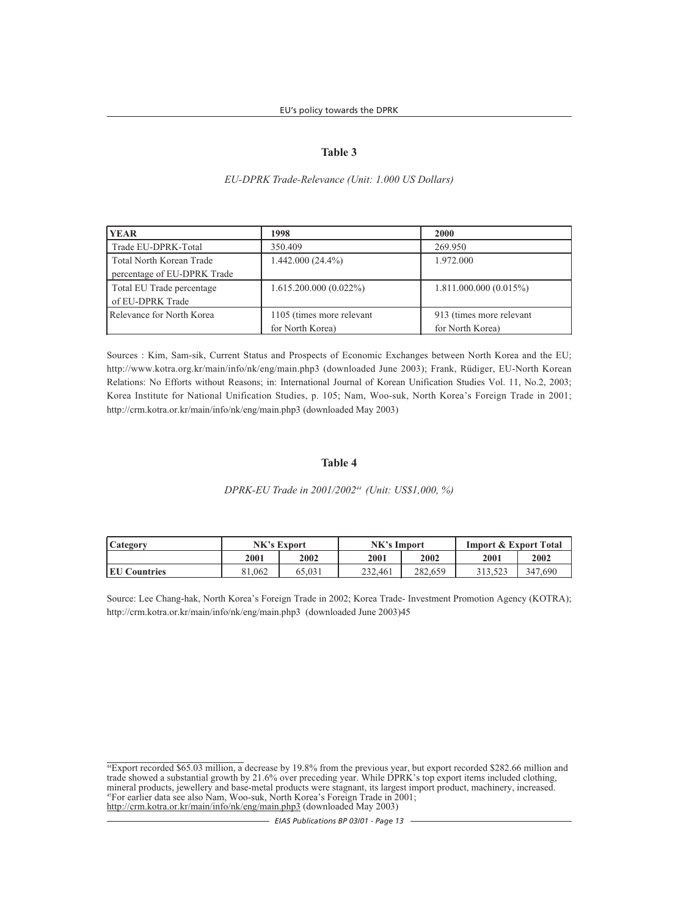#### **Table 3**

#### *EU-DPRK Trade-Relevance (Unit: 1.000 US Dollars)*

| <b>YEAR</b>                     | 1998                      | <b>2000</b>              |
|---------------------------------|---------------------------|--------------------------|
| Trade EU-DPRK-Total             | 350.409                   | 269.950                  |
| <b>Total North Korean Trade</b> | $1.442.000(24.4\%)$       | 1.972.000                |
| percentage of EU-DPRK Trade     |                           |                          |
| Total EU Trade percentage       | $1.615.200.000(0.022\%)$  | 1.811.000.000(0.015%)    |
| of EU-DPRK Trade                |                           |                          |
| Relevance for North Korea       | 1105 (times more relevant | 913 (times more relevant |
|                                 | for North Korea)          | for North Korea)         |

Sources : Kim, Sam-sik, Current Status and Prospects of Economic Exchanges between North Korea and the EU; http://www.kotra.org.kr/main/info/nk/eng/main.php3 (downloaded June 2003); Frank, Rüdiger, EU-North Korean Relations: No Efforts without Reasons; in: International Journal of Korean Unification Studies Vol. 11, No.2, 2003; Korea Institute for National Unification Studies, p. 105; Nam, Woo-suk, North Korea's Foreign Trade in 2001; http://crm.kotra.or.kr/main/info/nk/eng/main.php3 (downloaded May 2003)

#### **Table 4**

#### *DPRK-EU Trade in 2001/200244 (Unit: US\$1,000, %)*

| Category             | NK's Export |        | NK's Import |         | <b>Import &amp; Export Total</b> |         |
|----------------------|-------------|--------|-------------|---------|----------------------------------|---------|
|                      | 2001        | 2002   | 2001        | 2002    | 2001                             | 2002    |
| <b>IEU Countries</b> | 81.062      | 65.031 | 232,461     | 282,659 |                                  | 347,690 |

Source: Lee Chang-hak, North Korea's Foreign Trade in 2002; Korea Trade- Investment Promotion Agency (KOTRA); http://crm.kotra.or.kr/main/info/nk/eng/main.php3 (downloaded June 2003)45

<sup>44</sup>Export recorded \$65.03 million, a decrease by 19.8% from the previous year, but export recorded \$282.66 million and trade showed a substantial growth by 21.6% over preceding year. While DPRK's top export items included clothing, mineral products, jewellery and base-metal products were stagnant, its largest import product, machinery, increased. <sup>45</sup>For earlier data see also Nam, Woo-suk, North Korea's Foreign Trade in 2001; http://crm.kotra.or.kr/main/info/nk/eng/main.php3 (downloaded May 2003)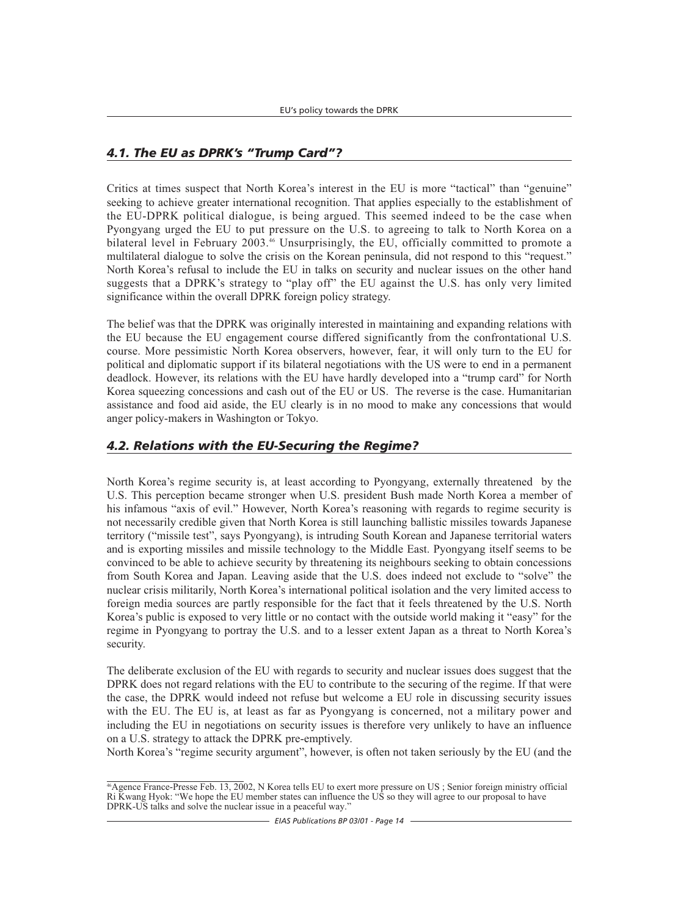## *4.1. The EU as DPRK's "Trump Card"?*

Critics at times suspect that North Korea's interest in the EU is more "tactical" than "genuine" seeking to achieve greater international recognition. That applies especially to the establishment of the EU-DPRK political dialogue, is being argued. This seemed indeed to be the case when Pyongyang urged the EU to put pressure on the U.S. to agreeing to talk to North Korea on a bilateral level in February 2003.<sup>46</sup> Unsurprisingly, the EU, officially committed to promote a multilateral dialogue to solve the crisis on the Korean peninsula, did not respond to this "request." North Korea's refusal to include the EU in talks on security and nuclear issues on the other hand suggests that a DPRK's strategy to "play off" the EU against the U.S. has only very limited significance within the overall DPRK foreign policy strategy.

The belief was that the DPRK was originally interested in maintaining and expanding relations with the EU because the EU engagement course differed significantly from the confrontational U.S. course. More pessimistic North Korea observers, however, fear, it will only turn to the EU for political and diplomatic support if its bilateral negotiations with the US were to end in a permanent deadlock. However, its relations with the EU have hardly developed into a "trump card" for North Korea squeezing concessions and cash out of the EU or US. The reverse is the case. Humanitarian assistance and food aid aside, the EU clearly is in no mood to make any concessions that would anger policy-makers in Washington or Tokyo.

## *4.2. Relations with the EU-Securing the Regime?*

North Korea's regime security is, at least according to Pyongyang, externally threatened by the U.S. This perception became stronger when U.S. president Bush made North Korea a member of his infamous "axis of evil." However, North Korea's reasoning with regards to regime security is not necessarily credible given that North Korea is still launching ballistic missiles towards Japanese territory ("missile test", says Pyongyang), is intruding South Korean and Japanese territorial waters and is exporting missiles and missile technology to the Middle East. Pyongyang itself seems to be convinced to be able to achieve security by threatening its neighbours seeking to obtain concessions from South Korea and Japan. Leaving aside that the U.S. does indeed not exclude to "solve" the nuclear crisis militarily, North Korea's international political isolation and the very limited access to foreign media sources are partly responsible for the fact that it feels threatened by the U.S. North Korea's public is exposed to very little or no contact with the outside world making it "easy" for the regime in Pyongyang to portray the U.S. and to a lesser extent Japan as a threat to North Korea's security.

The deliberate exclusion of the EU with regards to security and nuclear issues does suggest that the DPRK does not regard relations with the EU to contribute to the securing of the regime. If that were the case, the DPRK would indeed not refuse but welcome a EU role in discussing security issues with the EU. The EU is, at least as far as Pyongyang is concerned, not a military power and including the EU in negotiations on security issues is therefore very unlikely to have an influence on a U.S. strategy to attack the DPRK pre-emptively.

North Korea's "regime security argument", however, is often not taken seriously by the EU (and the

<sup>46</sup>Agence France-Presse Feb. 13, 2002, N Korea tells EU to exert more pressure on US ; Senior foreign ministry official Ri Kwang Hyok: "We hope the EU member states can influence the US so they will agree to our proposal to have DPRK-US talks and solve the nuclear issue in a peaceful way.'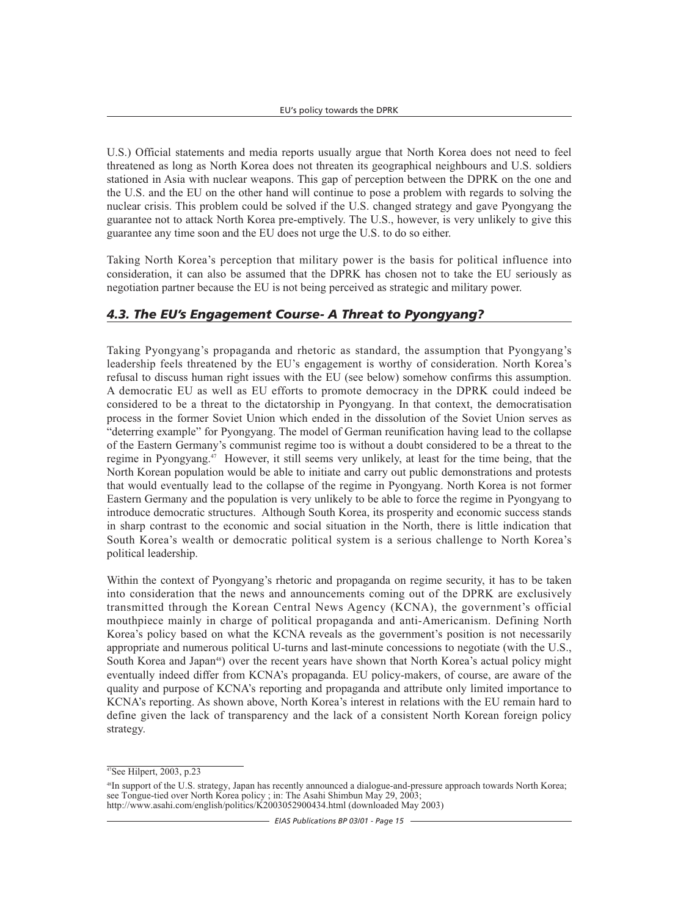U.S.) Official statements and media reports usually argue that North Korea does not need to feel threatened as long as North Korea does not threaten its geographical neighbours and U.S. soldiers stationed in Asia with nuclear weapons. This gap of perception between the DPRK on the one and the U.S. and the EU on the other hand will continue to pose a problem with regards to solving the nuclear crisis. This problem could be solved if the U.S. changed strategy and gave Pyongyang the guarantee not to attack North Korea pre-emptively. The U.S., however, is very unlikely to give this guarantee any time soon and the EU does not urge the U.S. to do so either.

Taking North Korea's perception that military power is the basis for political influence into consideration, it can also be assumed that the DPRK has chosen not to take the EU seriously as negotiation partner because the EU is not being perceived as strategic and military power.

## *4.3. The EU's Engagement Course- A Threat to Pyongyang?*

Taking Pyongyang's propaganda and rhetoric as standard, the assumption that Pyongyang's leadership feels threatened by the EU's engagement is worthy of consideration. North Korea's refusal to discuss human right issues with the EU (see below) somehow confirms this assumption. A democratic EU as well as EU efforts to promote democracy in the DPRK could indeed be considered to be a threat to the dictatorship in Pyongyang. In that context, the democratisation process in the former Soviet Union which ended in the dissolution of the Soviet Union serves as "deterring example" for Pyongyang. The model of German reunification having lead to the collapse of the Eastern Germany's communist regime too is without a doubt considered to be a threat to the regime in Pyongyang.<sup>47</sup> However, it still seems very unlikely, at least for the time being, that the North Korean population would be able to initiate and carry out public demonstrations and protests that would eventually lead to the collapse of the regime in Pyongyang. North Korea is not former Eastern Germany and the population is very unlikely to be able to force the regime in Pyongyang to introduce democratic structures. Although South Korea, its prosperity and economic success stands in sharp contrast to the economic and social situation in the North, there is little indication that South Korea's wealth or democratic political system is a serious challenge to North Korea's political leadership.

Within the context of Pyongyang's rhetoric and propaganda on regime security, it has to be taken into consideration that the news and announcements coming out of the DPRK are exclusively transmitted through the Korean Central News Agency (KCNA), the government's official mouthpiece mainly in charge of political propaganda and anti-Americanism. Defining North Korea's policy based on what the KCNA reveals as the government's position is not necessarily appropriate and numerous political U-turns and last-minute concessions to negotiate (with the U.S., South Korea and Japan<sup>48</sup>) over the recent years have shown that North Korea's actual policy might eventually indeed differ from KCNA's propaganda. EU policy-makers, of course, are aware of the quality and purpose of KCNA's reporting and propaganda and attribute only limited importance to KCNA's reporting. As shown above, North Korea's interest in relations with the EU remain hard to define given the lack of transparency and the lack of a consistent North Korean foreign policy strategy.

 $\sqrt[47]{\text{See Hilbert}}$ , 2003, p.23

<sup>48</sup>In support of the U.S. strategy, Japan has recently announced a dialogue-and-pressure approach towards North Korea; see Tongue-tied over North Korea policy ; in: The Asahi Shimbun May 29, 2003; http://www.asahi.com/english/politics/K2003052900434.html (downloaded May 2003)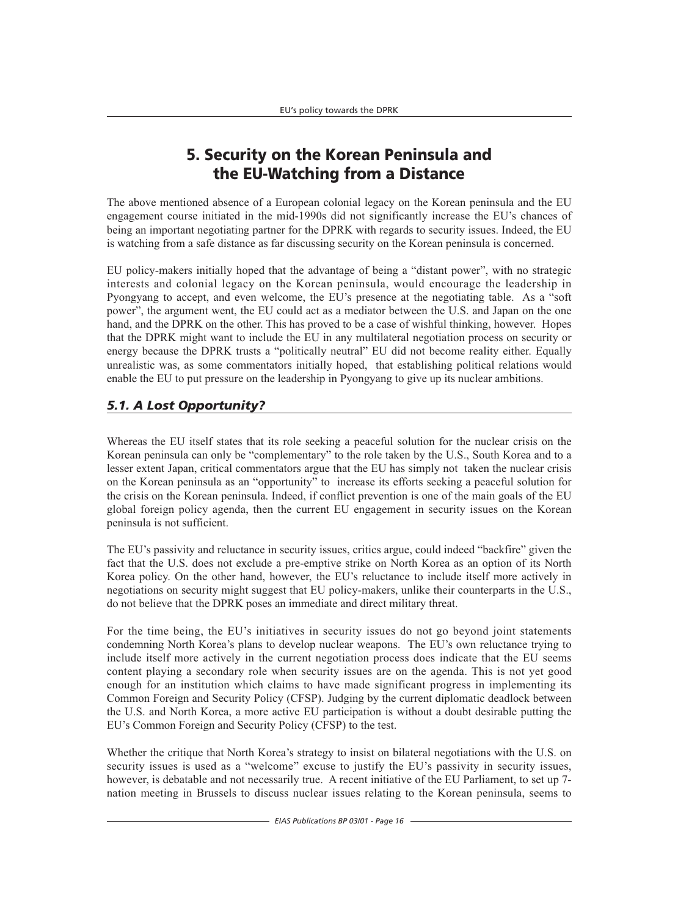# **5. Security on the Korean Peninsula and the EU-Watching from a Distance**

The above mentioned absence of a European colonial legacy on the Korean peninsula and the EU engagement course initiated in the mid-1990s did not significantly increase the EU's chances of being an important negotiating partner for the DPRK with regards to security issues. Indeed, the EU is watching from a safe distance as far discussing security on the Korean peninsula is concerned.

EU policy-makers initially hoped that the advantage of being a "distant power", with no strategic interests and colonial legacy on the Korean peninsula, would encourage the leadership in Pyongyang to accept, and even welcome, the EU's presence at the negotiating table. As a "soft power", the argument went, the EU could act as a mediator between the U.S. and Japan on the one hand, and the DPRK on the other. This has proved to be a case of wishful thinking, however. Hopes that the DPRK might want to include the EU in any multilateral negotiation process on security or energy because the DPRK trusts a "politically neutral" EU did not become reality either. Equally unrealistic was, as some commentators initially hoped, that establishing political relations would enable the EU to put pressure on the leadership in Pyongyang to give up its nuclear ambitions.

# *5.1. A Lost Opportunity?*

Whereas the EU itself states that its role seeking a peaceful solution for the nuclear crisis on the Korean peninsula can only be "complementary" to the role taken by the U.S., South Korea and to a lesser extent Japan, critical commentators argue that the EU has simply not taken the nuclear crisis on the Korean peninsula as an "opportunity" to increase its efforts seeking a peaceful solution for the crisis on the Korean peninsula. Indeed, if conflict prevention is one of the main goals of the EU global foreign policy agenda, then the current EU engagement in security issues on the Korean peninsula is not sufficient.

The EU's passivity and reluctance in security issues, critics argue, could indeed "backfire" given the fact that the U.S. does not exclude a pre-emptive strike on North Korea as an option of its North Korea policy. On the other hand, however, the EU's reluctance to include itself more actively in negotiations on security might suggest that EU policy-makers, unlike their counterparts in the U.S., do not believe that the DPRK poses an immediate and direct military threat.

For the time being, the EU's initiatives in security issues do not go beyond joint statements condemning North Korea's plans to develop nuclear weapons. The EU's own reluctance trying to include itself more actively in the current negotiation process does indicate that the EU seems content playing a secondary role when security issues are on the agenda. This is not yet good enough for an institution which claims to have made significant progress in implementing its Common Foreign and Security Policy (CFSP). Judging by the current diplomatic deadlock between the U.S. and North Korea, a more active EU participation is without a doubt desirable putting the EU's Common Foreign and Security Policy (CFSP) to the test.

Whether the critique that North Korea's strategy to insist on bilateral negotiations with the U.S. on security issues is used as a "welcome" excuse to justify the EU's passivity in security issues, however, is debatable and not necessarily true. A recent initiative of the EU Parliament, to set up 7 nation meeting in Brussels to discuss nuclear issues relating to the Korean peninsula, seems to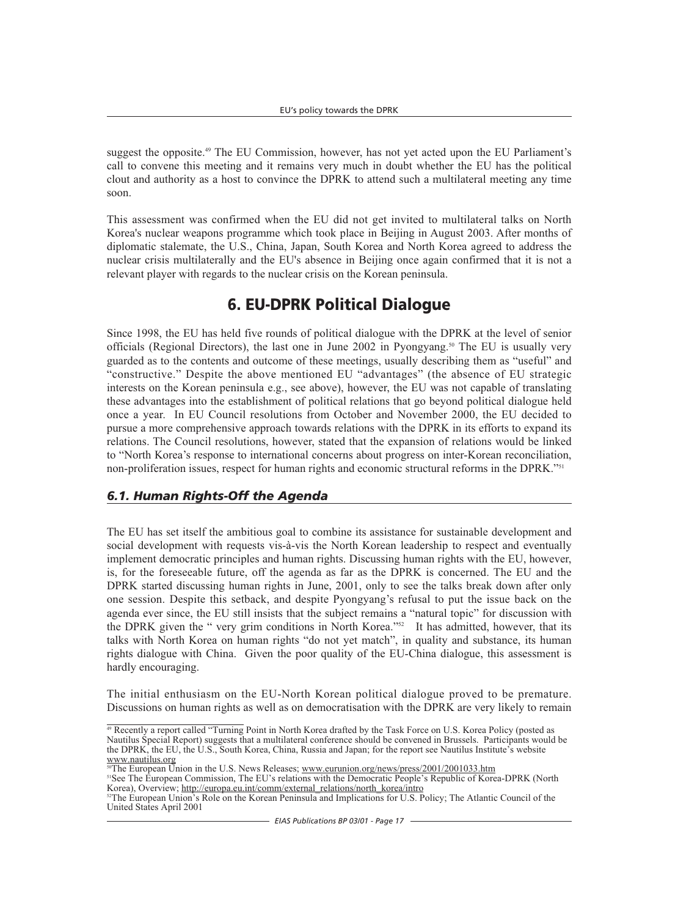suggest the opposite.<sup>49</sup> The EU Commission, however, has not yet acted upon the EU Parliament's call to convene this meeting and it remains very much in doubt whether the EU has the political clout and authority as a host to convince the DPRK to attend such a multilateral meeting any time soon.

This assessment was confirmed when the EU did not get invited to multilateral talks on North Korea's nuclear weapons programme which took place in Beijing in August 2003. After months of diplomatic stalemate, the U.S., China, Japan, South Korea and North Korea agreed to address the nuclear crisis multilaterally and the EU's absence in Beijing once again confirmed that it is not a relevant player with regards to the nuclear crisis on the Korean peninsula.

# **6. EU-DPRK Political Dialogue**

Since 1998, the EU has held five rounds of political dialogue with the DPRK at the level of senior officials (Regional Directors), the last one in June 2002 in Pyongyang.<sup>50</sup> The EU is usually very guarded as to the contents and outcome of these meetings, usually describing them as "useful" and "constructive." Despite the above mentioned EU "advantages" (the absence of EU strategic interests on the Korean peninsula e.g., see above), however, the EU was not capable of translating these advantages into the establishment of political relations that go beyond political dialogue held once a year. In EU Council resolutions from October and November 2000, the EU decided to pursue a more comprehensive approach towards relations with the DPRK in its efforts to expand its relations. The Council resolutions, however, stated that the expansion of relations would be linked to "North Korea's response to international concerns about progress on inter-Korean reconciliation, non-proliferation issues, respect for human rights and economic structural reforms in the DPRK."<sup>51</sup>

## *6.1. Human Rights-Off the Agenda*

The EU has set itself the ambitious goal to combine its assistance for sustainable development and social development with requests vis-à-vis the North Korean leadership to respect and eventually implement democratic principles and human rights. Discussing human rights with the EU, however, is, for the foreseeable future, off the agenda as far as the DPRK is concerned. The EU and the DPRK started discussing human rights in June, 2001, only to see the talks break down after only one session. Despite this setback, and despite Pyongyang's refusal to put the issue back on the agenda ever since, the EU still insists that the subject remains a "natural topic" for discussion with the DPRK given the " very grim conditions in North Korea."52 It has admitted, however, that its talks with North Korea on human rights "do not yet match", in quality and substance, its human rights dialogue with China. Given the poor quality of the EU-China dialogue, this assessment is hardly encouraging.

The initial enthusiasm on the EU-North Korean political dialogue proved to be premature. Discussions on human rights as well as on democratisation with the DPRK are very likely to remain

<sup>&</sup>lt;sup>49</sup> Recently a report called "Turning Point in North Korea drafted by the Task Force on U.S. Korea Policy (posted as Nautilus Special Report) suggests that a multilateral conference should be convened in Brussels. Participants would be the DPRK, the EU, the U.S., South Korea, China, Russia and Japan; for the report see Nautilus Institute's website www.nautilus.org

<sup>&</sup>lt;sup>50</sup>The European Union in the U.S. News Releases; www.eurunion.org/news/press/2001/2001033.htm

<sup>&</sup>lt;sup>51</sup>See The European Commission, The EU's relations with the Democratic People's Republic of Korea-DPRK (North Korea), Overview; http://europa.eu.int/comm/external\_relations/north\_korea/intro

<sup>&</sup>lt;sup>52</sup>The European Union's Role on the Korean Peninsula and Implications for U.S. Policy; The Atlantic Council of the United States April 2001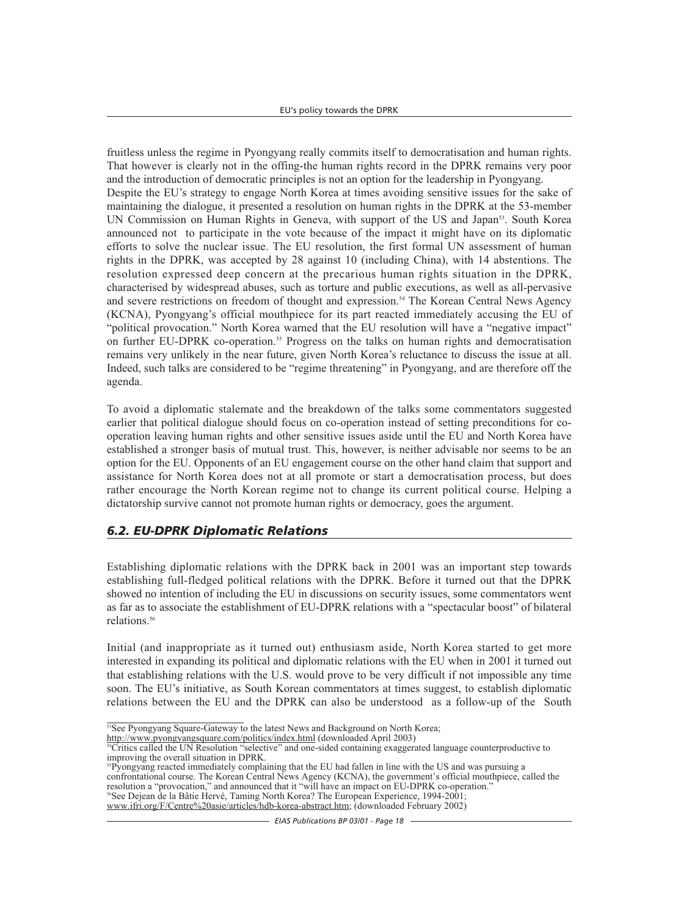fruitless unless the regime in Pyongyang really commits itself to democratisation and human rights. That however is clearly not in the offing-the human rights record in the DPRK remains very poor and the introduction of democratic principles is not an option for the leadership in Pyongyang. Despite the EU's strategy to engage North Korea at times avoiding sensitive issues for the sake of maintaining the dialogue, it presented a resolution on human rights in the DPRK at the 53-member UN Commission on Human Rights in Geneva, with support of the US and Japan<sup>53</sup>. South Korea announced not to participate in the vote because of the impact it might have on its diplomatic efforts to solve the nuclear issue. The EU resolution, the first formal UN assessment of human rights in the DPRK, was accepted by 28 against 10 (including China), with 14 abstentions. The resolution expressed deep concern at the precarious human rights situation in the DPRK, characterised by widespread abuses, such as torture and public executions, as well as all-pervasive and severe restrictions on freedom of thought and expression.<sup>54</sup> The Korean Central News Agency (KCNA), Pyongyang's official mouthpiece for its part reacted immediately accusing the EU of "political provocation." North Korea warned that the EU resolution will have a "negative impact" on further EU-DPRK co-operation.<sup>55</sup> Progress on the talks on human rights and democratisation remains very unlikely in the near future, given North Korea's reluctance to discuss the issue at all. Indeed, such talks are considered to be "regime threatening" in Pyongyang, and are therefore off the agenda.

To avoid a diplomatic stalemate and the breakdown of the talks some commentators suggested earlier that political dialogue should focus on co-operation instead of setting preconditions for cooperation leaving human rights and other sensitive issues aside until the EU and North Korea have established a stronger basis of mutual trust. This, however, is neither advisable nor seems to be an option for the EU. Opponents of an EU engagement course on the other hand claim that support and assistance for North Korea does not at all promote or start a democratisation process, but does rather encourage the North Korean regime not to change its current political course. Helping a dictatorship survive cannot not promote human rights or democracy, goes the argument.

# *6.2. EU-DPRK Diplomatic Relations*

Establishing diplomatic relations with the DPRK back in 2001 was an important step towards establishing full-fledged political relations with the DPRK. Before it turned out that the DPRK showed no intention of including the EU in discussions on security issues, some commentators went as far as to associate the establishment of EU-DPRK relations with a "spectacular boost" of bilateral relations.<sup>56</sup>

Initial (and inappropriate as it turned out) enthusiasm aside, North Korea started to get more interested in expanding its political and diplomatic relations with the EU when in 2001 it turned out that establishing relations with the U.S. would prove to be very difficult if not impossible any time soon. The EU's initiative, as South Korean commentators at times suggest, to establish diplomatic relations between the EU and the DPRK can also be understood as a follow-up of the South

 $\frac{53}{13}$ See Pyongyang Square-Gateway to the latest News and Background on North Korea;<br>http://www.pyongyangsquare.com/politics/index.html (downloaded April 2003)

 $\frac{54}{\text{Critics}}$  called the UN Resolution "selective" and one-sided containing exaggerated language counterproductive to improving the overall situation in DPRK.

<sup>&</sup>lt;sup>55</sup>Pyongyang reacted immediately complaining that the EU had fallen in line with the US and was pursuing a confrontational course. The Korean Central News Agency (KCNA), the government's official mouthpiece, called the resolution a "provocation," and announced that it "will have an impact on EU-DPRK co-operation." <sup>56</sup>See Dejean de la Bâtie Hervé, Taming North Korea? The European Experience, 1994-2001;

www.ifri.org/F/Centre%20asie/articles/hdb-korea-abstract.htm; (downloaded February 2002)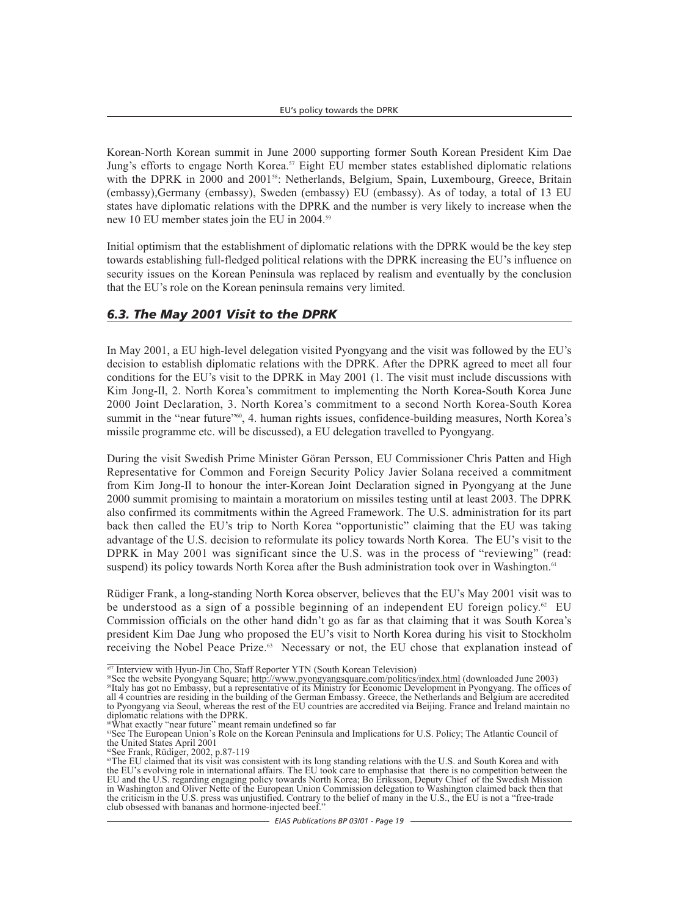Korean-North Korean summit in June 2000 supporting former South Korean President Kim Dae Jung's efforts to engage North Korea.<sup>57</sup> Eight EU member states established diplomatic relations with the DPRK in 2000 and 2001<sup>58</sup>: Netherlands, Belgium, Spain, Luxembourg, Greece, Britain (embassy),Germany (embassy), Sweden (embassy) EU (embassy). As of today, a total of 13 EU states have diplomatic relations with the DPRK and the number is very likely to increase when the new 10 EU member states join the EU in 2004.<sup>59</sup>

Initial optimism that the establishment of diplomatic relations with the DPRK would be the key step towards establishing full-fledged political relations with the DPRK increasing the EU's influence on security issues on the Korean Peninsula was replaced by realism and eventually by the conclusion that the EU's role on the Korean peninsula remains very limited.

### *6.3. The May 2001 Visit to the DPRK*

In May 2001, a EU high-level delegation visited Pyongyang and the visit was followed by the EU's decision to establish diplomatic relations with the DPRK. After the DPRK agreed to meet all four conditions for the EU's visit to the DPRK in May 2001 (1. The visit must include discussions with Kim Jong-Il, 2. North Korea's commitment to implementing the North Korea-South Korea June 2000 Joint Declaration, 3. North Korea's commitment to a second North Korea-South Korea summit in the "near future"<sup>60</sup>, 4. human rights issues, confidence-building measures, North Korea's missile programme etc. will be discussed), a EU delegation travelled to Pyongyang.

During the visit Swedish Prime Minister Göran Persson, EU Commissioner Chris Patten and High Representative for Common and Foreign Security Policy Javier Solana received a commitment from Kim Jong-Il to honour the inter-Korean Joint Declaration signed in Pyongyang at the June 2000 summit promising to maintain a moratorium on missiles testing until at least 2003. The DPRK also confirmed its commitments within the Agreed Framework. The U.S. administration for its part back then called the EU's trip to North Korea "opportunistic" claiming that the EU was taking advantage of the U.S. decision to reformulate its policy towards North Korea. The EU's visit to the DPRK in May 2001 was significant since the U.S. was in the process of "reviewing" (read: suspend) its policy towards North Korea after the Bush administration took over in Washington.<sup>61</sup>

Rüdiger Frank, a long-standing North Korea observer, believes that the EU's May 2001 visit was to be understood as a sign of a possible beginning of an independent EU foreign policy.<sup>62</sup> EU Commission officials on the other hand didn't go as far as that claiming that it was South Korea's president Kim Dae Jung who proposed the EU's visit to North Korea during his visit to Stockholm receiving the Nobel Peace Prize.<sup>63</sup> Necessary or not, the EU chose that explanation instead of

<sup>&</sup>lt;sup>58</sup>Therview with Hyun-Jin Cho, Staff Reporter YTN (South Korean Television)<br><sup>58</sup>See the website Pyongyang Square; http://www.pyongyangsquare.com/politics/index.html (downloaded June 2003)<br><sup>59</sup>Italy has got no Embassy, but all 4 countries are residing in the building of the German Embassy. Greece, the Netherlands and Belgium are accredited to Pyongyang via Seoul, whereas the rest of the EU countries are accredited via Beijing. France and Ireland maintain no diplomatic relations with the DPRK.

<sup>60</sup>What exactly "near future" meant remain undefined so far

<sup>61</sup>See The European Union's Role on the Korean Peninsula and Implications for U.S. Policy; The Atlantic Council of the United States April 2001

<sup>62</sup>See Frank, Rüdiger, 2002, p.87-119

<sup>&</sup>lt;sup>63</sup>The EU claimed that its visit was consistent with its long standing relations with the U.S. and South Korea and with the EU's evolving role in international affairs. The EU took care to emphasise that there is no competition between the EU and the U.S. regarding engaging policy towards North Korea; Bo Eriksson, Deputy Chief of the Swedish Mission in Washington and Oliver Nette of the European Union Commission delegation to Washington claimed back then that the criticism in the U.S. press was unjustified. Contrary to the belief of many in the U.S., the EU is not a "free-trade club obsessed with bananas and hormone-injected beef."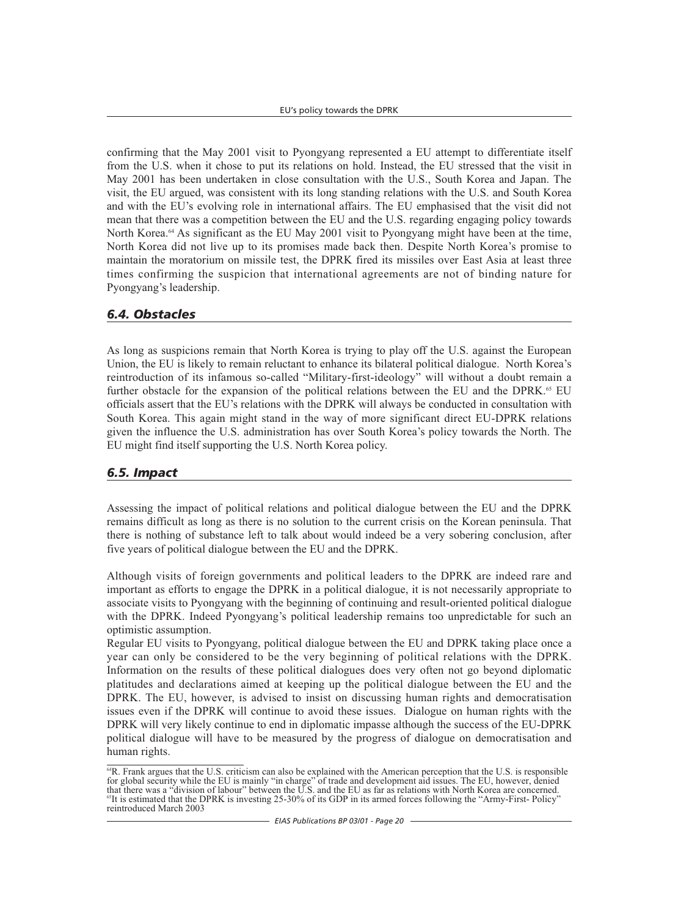confirming that the May 2001 visit to Pyongyang represented a EU attempt to differentiate itself from the U.S. when it chose to put its relations on hold. Instead, the EU stressed that the visit in May 2001 has been undertaken in close consultation with the U.S., South Korea and Japan. The visit, the EU argued, was consistent with its long standing relations with the U.S. and South Korea and with the EU's evolving role in international affairs. The EU emphasised that the visit did not mean that there was a competition between the EU and the U.S. regarding engaging policy towards North Korea.<sup>64</sup> As significant as the EU May 2001 visit to Pyongyang might have been at the time, North Korea did not live up to its promises made back then. Despite North Korea's promise to maintain the moratorium on missile test, the DPRK fired its missiles over East Asia at least three times confirming the suspicion that international agreements are not of binding nature for Pyongyang's leadership.

## *6.4. Obstacles*

As long as suspicions remain that North Korea is trying to play off the U.S. against the European Union, the EU is likely to remain reluctant to enhance its bilateral political dialogue. North Korea's reintroduction of its infamous so-called "Military-first-ideology" will without a doubt remain a further obstacle for the expansion of the political relations between the EU and the DPRK.<sup>65</sup> EU officials assert that the EU's relations with the DPRK will always be conducted in consultation with South Korea. This again might stand in the way of more significant direct EU-DPRK relations given the influence the U.S. administration has over South Korea's policy towards the North. The EU might find itself supporting the U.S. North Korea policy.

## *6.5. Impact*

Assessing the impact of political relations and political dialogue between the EU and the DPRK remains difficult as long as there is no solution to the current crisis on the Korean peninsula. That there is nothing of substance left to talk about would indeed be a very sobering conclusion, after five years of political dialogue between the EU and the DPRK.

Although visits of foreign governments and political leaders to the DPRK are indeed rare and important as efforts to engage the DPRK in a political dialogue, it is not necessarily appropriate to associate visits to Pyongyang with the beginning of continuing and result-oriented political dialogue with the DPRK. Indeed Pyongyang's political leadership remains too unpredictable for such an optimistic assumption.

Regular EU visits to Pyongyang, political dialogue between the EU and DPRK taking place once a year can only be considered to be the very beginning of political relations with the DPRK. Information on the results of these political dialogues does very often not go beyond diplomatic platitudes and declarations aimed at keeping up the political dialogue between the EU and the DPRK. The EU, however, is advised to insist on discussing human rights and democratisation issues even if the DPRK will continue to avoid these issues. Dialogue on human rights with the DPRK will very likely continue to end in diplomatic impasse although the success of the EU-DPRK political dialogue will have to be measured by the progress of dialogue on democratisation and human rights.

<sup>64</sup>R. Frank argues that the U.S. criticism can also be explained with the American perception that the U.S. is responsible for global security while the EU is mainly "in charge" of trade and development aid issues. The EU, however, denied that there was a "division of labour" between the U.S. and the EU as far as relations with North Korea are concerned.<br><sup>65</sup>It is estimated that the DPRK is investing 25-30% of its GDP in its armed forces following the "Army reintroduced March 2003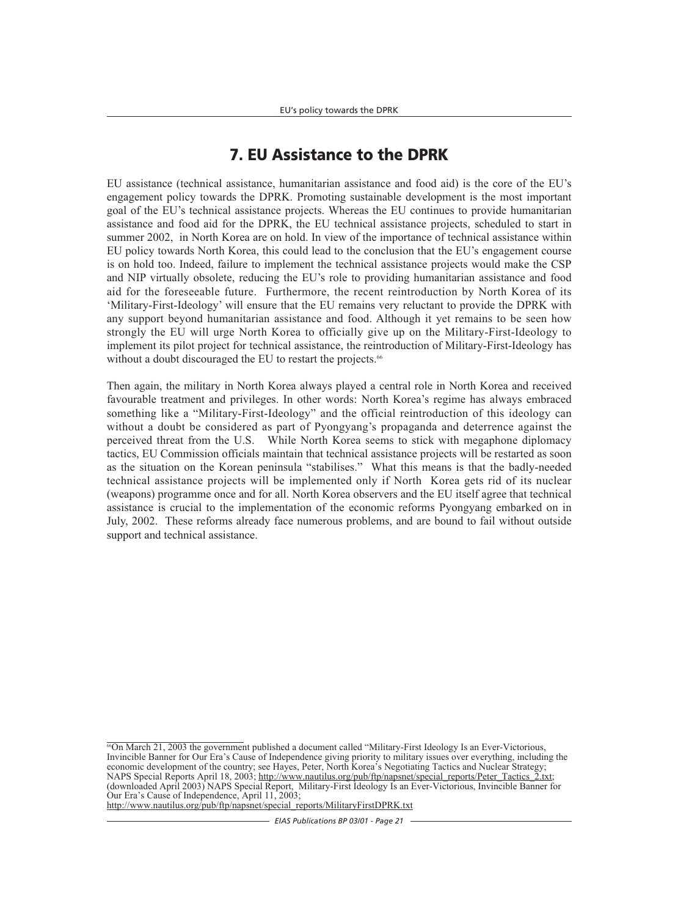# **7. EU Assistance to the DPRK**

EU assistance (technical assistance, humanitarian assistance and food aid) is the core of the EU's engagement policy towards the DPRK. Promoting sustainable development is the most important goal of the EU's technical assistance projects. Whereas the EU continues to provide humanitarian assistance and food aid for the DPRK, the EU technical assistance projects, scheduled to start in summer 2002, in North Korea are on hold. In view of the importance of technical assistance within EU policy towards North Korea, this could lead to the conclusion that the EU's engagement course is on hold too. Indeed, failure to implement the technical assistance projects would make the CSP and NIP virtually obsolete, reducing the EU's role to providing humanitarian assistance and food aid for the foreseeable future. Furthermore, the recent reintroduction by North Korea of its 'Military-First-Ideology' will ensure that the EU remains very reluctant to provide the DPRK with any support beyond humanitarian assistance and food. Although it yet remains to be seen how strongly the EU will urge North Korea to officially give up on the Military-First-Ideology to implement its pilot project for technical assistance, the reintroduction of Military-First-Ideology has without a doubt discouraged the EU to restart the projects.<sup>66</sup>

Then again, the military in North Korea always played a central role in North Korea and received favourable treatment and privileges. In other words: North Korea's regime has always embraced something like a "Military-First-Ideology" and the official reintroduction of this ideology can without a doubt be considered as part of Pyongyang's propaganda and deterrence against the perceived threat from the U.S. While North Korea seems to stick with megaphone diplomacy tactics, EU Commission officials maintain that technical assistance projects will be restarted as soon as the situation on the Korean peninsula "stabilises." What this means is that the badly-needed technical assistance projects will be implemented only if North Korea gets rid of its nuclear (weapons) programme once and for all. North Korea observers and the EU itself agree that technical assistance is crucial to the implementation of the economic reforms Pyongyang embarked on in July, 2002. These reforms already face numerous problems, and are bound to fail without outside support and technical assistance.

<sup>&</sup>lt;sup>66</sup>On March 21, 2003 the government published a document called "Military-First Ideology Is an Ever-Victorious, Invincible Banner for Our Era's Cause of Independence giving priority to military issues over everything, including the economic development of the country; see Hayes, Peter, North Korea's Negotiating Tactics and Nuclear Strategy; NAPS Special Reports April 18, 2003; http://www.nautilus.org/pub/ftp/napsnet/special\_reports/Peter\_Tactics\_2.txt; (downloaded April 2003) NAPS Special Report, Military-First Ideology Is an Ever-Victorious, Invincible Banner for Our Era's Cause of Independence, April 11, 2003; http://www.nautilus.org/pub/ftp/napsnet/special\_reports/MilitaryFirstDPRK.txt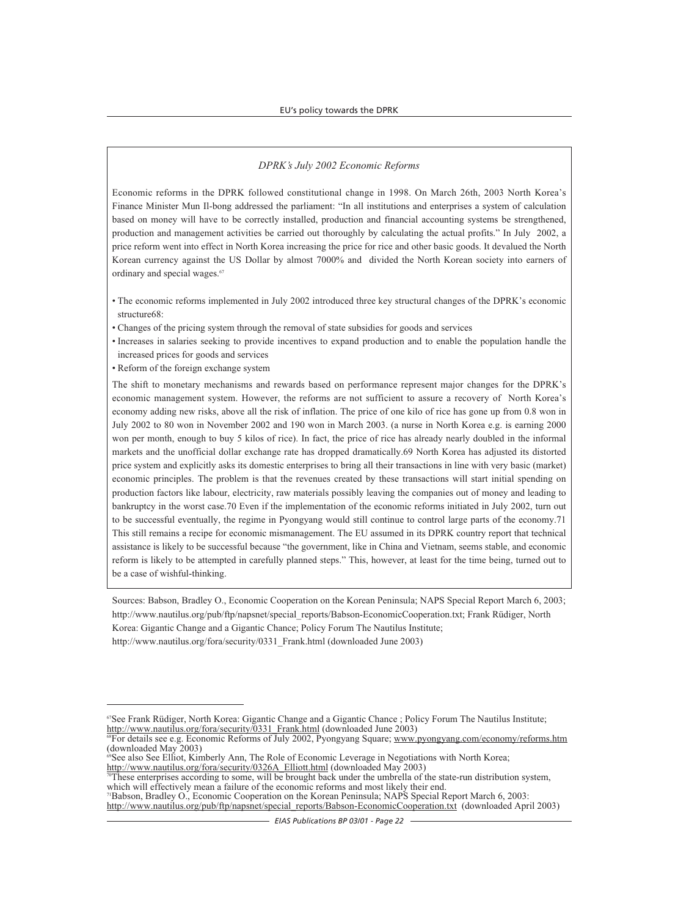#### *DPRK's July 2002 Economic Reforms*

Economic reforms in the DPRK followed constitutional change in 1998. On March 26th, 2003 North Korea's Finance Minister Mun Il-bong addressed the parliament: "In all institutions and enterprises a system of calculation based on money will have to be correctly installed, production and financial accounting systems be strengthened, production and management activities be carried out thoroughly by calculating the actual profits." In July 2002, a price reform went into effect in North Korea increasing the price for rice and other basic goods. It devalued the North Korean currency against the US Dollar by almost 7000% and divided the North Korean society into earners of ordinary and special wages.<sup>67</sup>

- The economic reforms implemented in July 2002 introduced three key structural changes of the DPRK's economic structure68:
- Changes of the pricing system through the removal of state subsidies for goods and services
- Increases in salaries seeking to provide incentives to expand production and to enable the population handle the increased prices for goods and services
- Reform of the foreign exchange system

The shift to monetary mechanisms and rewards based on performance represent major changes for the DPRK's economic management system. However, the reforms are not sufficient to assure a recovery of North Korea's economy adding new risks, above all the risk of inflation. The price of one kilo of rice has gone up from 0.8 won in July 2002 to 80 won in November 2002 and 190 won in March 2003. (a nurse in North Korea e.g. is earning 2000 won per month, enough to buy 5 kilos of rice). In fact, the price of rice has already nearly doubled in the informal markets and the unofficial dollar exchange rate has dropped dramatically.69 North Korea has adjusted its distorted price system and explicitly asks its domestic enterprises to bring all their transactions in line with very basic (market) economic principles. The problem is that the revenues created by these transactions will start initial spending on production factors like labour, electricity, raw materials possibly leaving the companies out of money and leading to bankruptcy in the worst case.70 Even if the implementation of the economic reforms initiated in July 2002, turn out to be successful eventually, the regime in Pyongyang would still continue to control large parts of the economy.71 This still remains a recipe for economic mismanagement. The EU assumed in its DPRK country report that technical assistance is likely to be successful because "the government, like in China and Vietnam, seems stable, and economic reform is likely to be attempted in carefully planned steps." This, however, at least for the time being, turned out to be a case of wishful-thinking.

Sources: Babson, Bradley O., Economic Cooperation on the Korean Peninsula; NAPS Special Report March 6, 2003; http://www.nautilus.org/pub/ftp/napsnet/special\_reports/Babson-EconomicCooperation.txt; Frank Rüdiger, North Korea: Gigantic Change and a Gigantic Chance; Policy Forum The Nautilus Institute; http://www.nautilus.org/fora/security/0331\_Frank.html (downloaded June 2003)

71Babson, Bradley O., Economic Cooperation on the Korean Peninsula; NAPS Special Report March 6, 2003: http://www.nautilus.org/pub/ftp/napsnet/special\_reports/Babson-EconomicCooperation.txt (downloaded April 2003)

<sup>&</sup>lt;sup>67</sup>See Frank Rüdiger, North Korea: Gigantic Change and a Gigantic Chance ; Policy Forum The Nautilus Institute; http://www.nautilus.org/fora/security/0331\_Frank.html (downloaded June 2003)

 $\frac{1}{100}$   $\frac{1}{100}$  and  $\frac{1}{100}$  Reforms of July 2002, Pyongyang Square; www.pyongyang.com/economy/reforms.htm (downloaded May 2003)

<sup>&</sup>lt;sup>69</sup>See also See Elliot, Kimberly Ann, The Role of Economic Leverage in Negotiations with North Korea; http://www.nautilus.org/fora/security/0326A\_Elliott.html (downloaded May 2003)

These enterprises according to some, will be brought back under the umbrella of the state-run distribution system, which will effectively mean a failure of the economic reforms and most likely their end.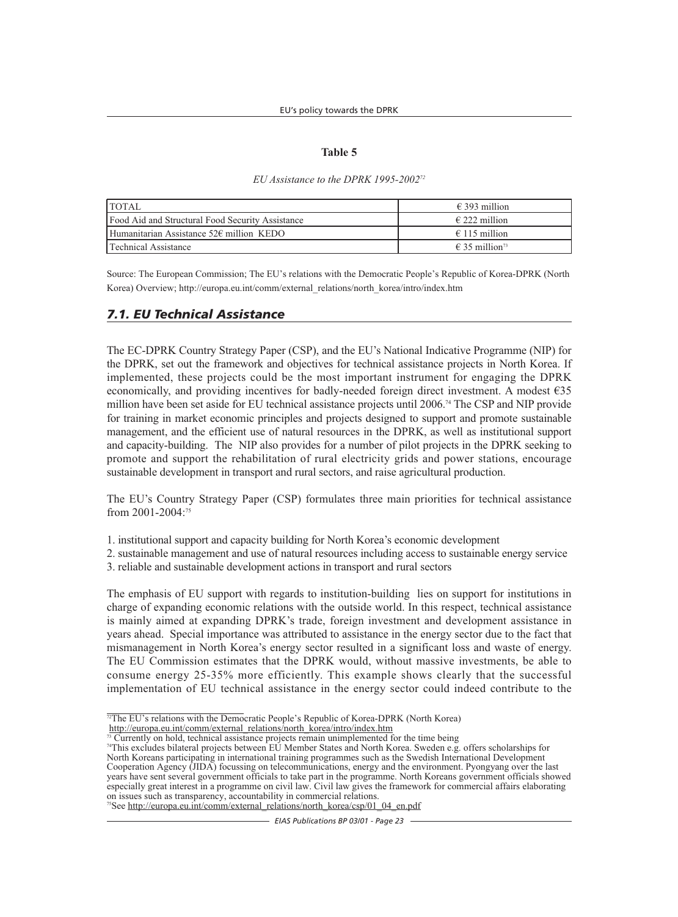#### **Table 5**

#### *EU Assistance to the DPRK 1995-200272*

| <b>TOTAL</b>                                      | $\epsilon$ 393 million              |
|---------------------------------------------------|-------------------------------------|
| Food Aid and Structural Food Security Assistance  | $\epsilon$ 222 million              |
| Humanitarian Assistance $52\epsilon$ million KEDO | $\epsilon$ 115 million              |
| Technical Assistance                              | $\epsilon$ 35 million <sup>73</sup> |

Source: The European Commission; The EU's relations with the Democratic People's Republic of Korea-DPRK (North Korea) Overview; http://europa.eu.int/comm/external\_relations/north\_korea/intro/index.htm

### *7.1. EU Technical Assistance*

The EC-DPRK Country Strategy Paper (CSP), and the EU's National Indicative Programme (NIP) for the DPRK, set out the framework and objectives for technical assistance projects in North Korea. If implemented, these projects could be the most important instrument for engaging the DPRK economically, and providing incentives for badly-needed foreign direct investment. A modest  $\epsilon$ 35 million have been set aside for EU technical assistance projects until 2006.74 The CSP and NIP provide for training in market economic principles and projects designed to support and promote sustainable management, and the efficient use of natural resources in the DPRK, as well as institutional support and capacity-building. The NIP also provides for a number of pilot projects in the DPRK seeking to promote and support the rehabilitation of rural electricity grids and power stations, encourage sustainable development in transport and rural sectors, and raise agricultural production.

The EU's Country Strategy Paper (CSP) formulates three main priorities for technical assistance from 2001-2004:75

- 1. institutional support and capacity building for North Korea's economic development
- 2. sustainable management and use of natural resources including access to sustainable energy service
- 3. reliable and sustainable development actions in transport and rural sectors

The emphasis of EU support with regards to institution-building lies on support for institutions in charge of expanding economic relations with the outside world. In this respect, technical assistance is mainly aimed at expanding DPRK's trade, foreign investment and development assistance in years ahead. Special importance was attributed to assistance in the energy sector due to the fact that mismanagement in North Korea's energy sector resulted in a significant loss and waste of energy. The EU Commission estimates that the DPRK would, without massive investments, be able to consume energy 25-35% more efficiently. This example shows clearly that the successful implementation of EU technical assistance in the energy sector could indeed contribute to the

<sup>75</sup>See http://europa.eu.int/comm/external\_relations/north\_korea/csp/01\_04\_en.pdf

<sup>&</sup>lt;sup>72</sup>The EU's relations with the Democratic People's Republic of Korea-DPRK (North Korea)

http://europa.eu.int/comm/external\_relations/north\_korea/intro/index.htm<br><sup>73</sup> Currently on hold, technical assistance projects remain unimplemented for the time being

<sup>&</sup>lt;sup>74</sup>This excludes bilateral projects between EU Member States and North Korea. Sweden e.g. offers scholarships for North Koreans participating in international training programmes such as the Swedish International Development Cooperation Agency (JIDA) focussing on telecommunications, energy and the environment. Pyongyang over the last years have sent several government officials to take part in the programme. North Koreans government officials showed especially great interest in a programme on civil law. Civil law gives the framework for commercial affairs elaborating on issues such as transparency, accountability in commercial relations.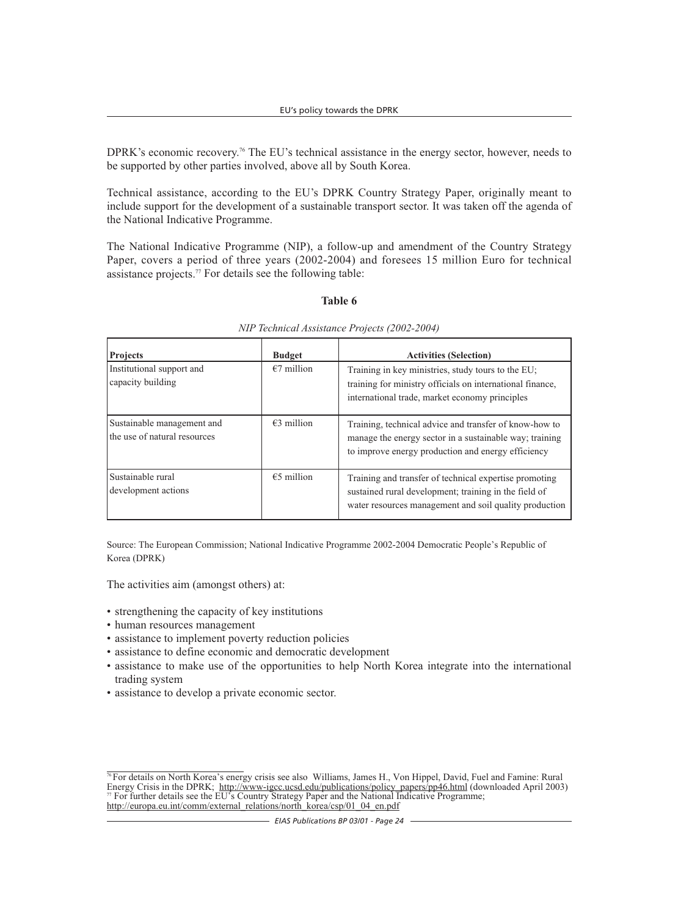DPRK's economic recovery.<sup>76</sup> The EU's technical assistance in the energy sector, however, needs to be supported by other parties involved, above all by South Korea.

Technical assistance, according to the EU's DPRK Country Strategy Paper, originally meant to include support for the development of a sustainable transport sector. It was taken off the agenda of the National Indicative Programme.

The National Indicative Programme (NIP), a follow-up and amendment of the Country Strategy Paper, covers a period of three years (2002-2004) and foresees 15 million Euro for technical assistance projects.77 For details see the following table:

#### **Table 6**

| <b>Projects</b>                                            | <b>Budget</b> | <b>Activities (Selection)</b>                                                                                                                                             |
|------------------------------------------------------------|---------------|---------------------------------------------------------------------------------------------------------------------------------------------------------------------------|
| Institutional support and<br>capacity building             | $€7$ million  | Training in key ministries, study tours to the EU;<br>training for ministry officials on international finance,<br>international trade, market economy principles         |
| Sustainable management and<br>the use of natural resources | $€3$ million  | Training, technical advice and transfer of know-how to<br>manage the energy sector in a sustainable way; training<br>to improve energy production and energy efficiency   |
| Sustainable rural<br>development actions                   | $€5$ million  | Training and transfer of technical expertise promoting<br>sustained rural development; training in the field of<br>water resources management and soil quality production |

*NIP Technical Assistance Projects (2002-2004)*

Source: The European Commission; National Indicative Programme 2002-2004 Democratic People's Republic of Korea (DPRK)

The activities aim (amongst others) at:

- strengthening the capacity of key institutions
- human resources management
- assistance to implement poverty reduction policies
- assistance to define economic and democratic development
- assistance to make use of the opportunities to help North Korea integrate into the international trading system
- assistance to develop a private economic sector.

 $\frac{1}{76}$  For details on North Korea's energy crisis see also Williams, James H., Von Hippel, David, Fuel and Famine: Rural Energy Crisis in the DPRK; http://www-igcc.ucsd.edu/publications/policy\_papers/pp46.html (downloaded April 2003) For further details see the EU's Country Strategy Paper and the National Indicative Programme; http://europa.eu.int/comm/external\_relations/north\_korea/csp/01\_04\_en.pdf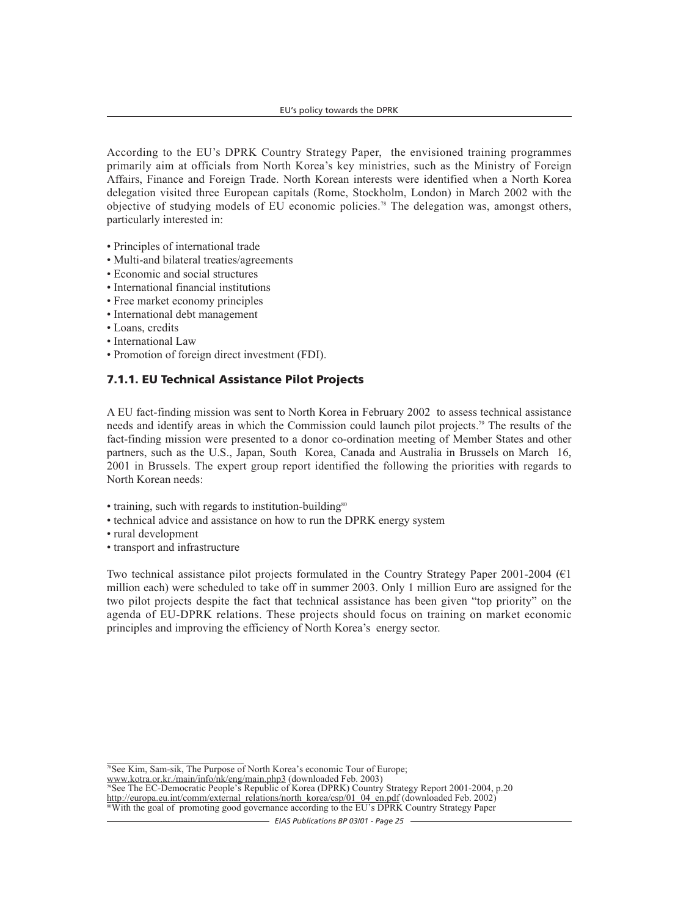According to the EU's DPRK Country Strategy Paper, the envisioned training programmes primarily aim at officials from North Korea's key ministries, such as the Ministry of Foreign Affairs, Finance and Foreign Trade. North Korean interests were identified when a North Korea delegation visited three European capitals (Rome, Stockholm, London) in March 2002 with the objective of studying models of EU economic policies.78 The delegation was, amongst others, particularly interested in:

- Principles of international trade
- Multi-and bilateral treaties/agreements
- Economic and social structures
- International financial institutions
- Free market economy principles
- International debt management
- Loans, credits
- International Law
- Promotion of foreign direct investment (FDI).

#### **7.1.1. EU Technical Assistance Pilot Projects**

A EU fact-finding mission was sent to North Korea in February 2002 to assess technical assistance needs and identify areas in which the Commission could launch pilot projects.79 The results of the fact-finding mission were presented to a donor co-ordination meeting of Member States and other partners, such as the U.S., Japan, South Korea, Canada and Australia in Brussels on March 16, 2001 in Brussels. The expert group report identified the following the priorities with regards to North Korean needs:

- training, such with regards to institution-building<sup>80</sup>
- technical advice and assistance on how to run the DPRK energy system
- rural development
- transport and infrastructure

Two technical assistance pilot projects formulated in the Country Strategy Paper 2001-2004 ( $\epsilon$ 1) million each) were scheduled to take off in summer 2003. Only 1 million Euro are assigned for the two pilot projects despite the fact that technical assistance has been given "top priority" on the agenda of EU-DPRK relations. These projects should focus on training on market economic principles and improving the efficiency of North Korea's energy sector.

<sup>78</sup>See Kim, Sam-sik, The Purpose of North Korea's economic Tour of Europe; www.kotra.or.kr./main/info/nk/eng/main.php3 (downloaded Feb. 2003)

<sup>9</sup>See The EC-Democratic People's Republic of Korea (DPRK) Country Strategy Report 2001-2004, p.20 http://europa.eu.int/comm/external\_relations/north\_korea/csp/01\_04\_en.pdf (downloaded Feb. 2002) 80With the goal of promoting good governance according to the EU's DPRK Country Strategy Paper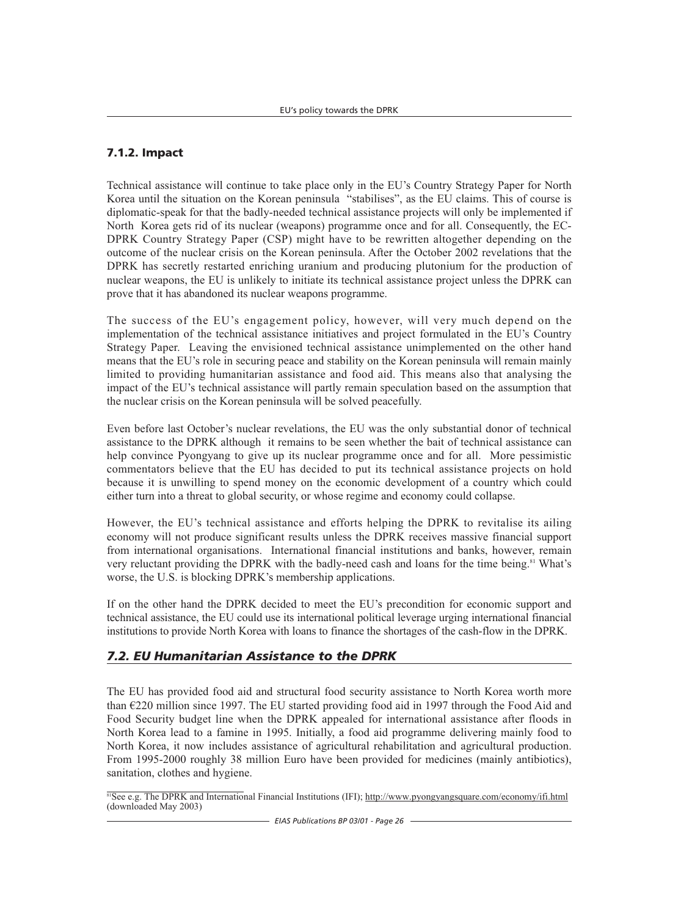## **7.1.2. Impact**

Technical assistance will continue to take place only in the EU's Country Strategy Paper for North Korea until the situation on the Korean peninsula "stabilises", as the EU claims. This of course is diplomatic-speak for that the badly-needed technical assistance projects will only be implemented if North Korea gets rid of its nuclear (weapons) programme once and for all. Consequently, the EC-DPRK Country Strategy Paper (CSP) might have to be rewritten altogether depending on the outcome of the nuclear crisis on the Korean peninsula. After the October 2002 revelations that the DPRK has secretly restarted enriching uranium and producing plutonium for the production of nuclear weapons, the EU is unlikely to initiate its technical assistance project unless the DPRK can prove that it has abandoned its nuclear weapons programme.

The success of the EU's engagement policy, however, will very much depend on the implementation of the technical assistance initiatives and project formulated in the EU's Country Strategy Paper. Leaving the envisioned technical assistance unimplemented on the other hand means that the EU's role in securing peace and stability on the Korean peninsula will remain mainly limited to providing humanitarian assistance and food aid. This means also that analysing the impact of the EU's technical assistance will partly remain speculation based on the assumption that the nuclear crisis on the Korean peninsula will be solved peacefully.

Even before last October's nuclear revelations, the EU was the only substantial donor of technical assistance to the DPRK although it remains to be seen whether the bait of technical assistance can help convince Pyongyang to give up its nuclear programme once and for all. More pessimistic commentators believe that the EU has decided to put its technical assistance projects on hold because it is unwilling to spend money on the economic development of a country which could either turn into a threat to global security, or whose regime and economy could collapse.

However, the EU's technical assistance and efforts helping the DPRK to revitalise its ailing economy will not produce significant results unless the DPRK receives massive financial support from international organisations. International financial institutions and banks, however, remain very reluctant providing the DPRK with the badly-need cash and loans for the time being.<sup>81</sup> What's worse, the U.S. is blocking DPRK's membership applications.

If on the other hand the DPRK decided to meet the EU's precondition for economic support and technical assistance, the EU could use its international political leverage urging international financial institutions to provide North Korea with loans to finance the shortages of the cash-flow in the DPRK.

## *7.2. EU Humanitarian Assistance to the DPRK*

The EU has provided food aid and structural food security assistance to North Korea worth more than  $E$  420 million since 1997. The EU started providing food aid in 1997 through the Food Aid and Food Security budget line when the DPRK appealed for international assistance after floods in North Korea lead to a famine in 1995. Initially, a food aid programme delivering mainly food to North Korea, it now includes assistance of agricultural rehabilitation and agricultural production. From 1995-2000 roughly 38 million Euro have been provided for medicines (mainly antibiotics), sanitation, clothes and hygiene.

<sup>&</sup>lt;sup>81</sup>See e.g. The DPRK and International Financial Institutions (IFI); http://www.pyongyangsquare.com/economy/ifi.html (downloaded May 2003)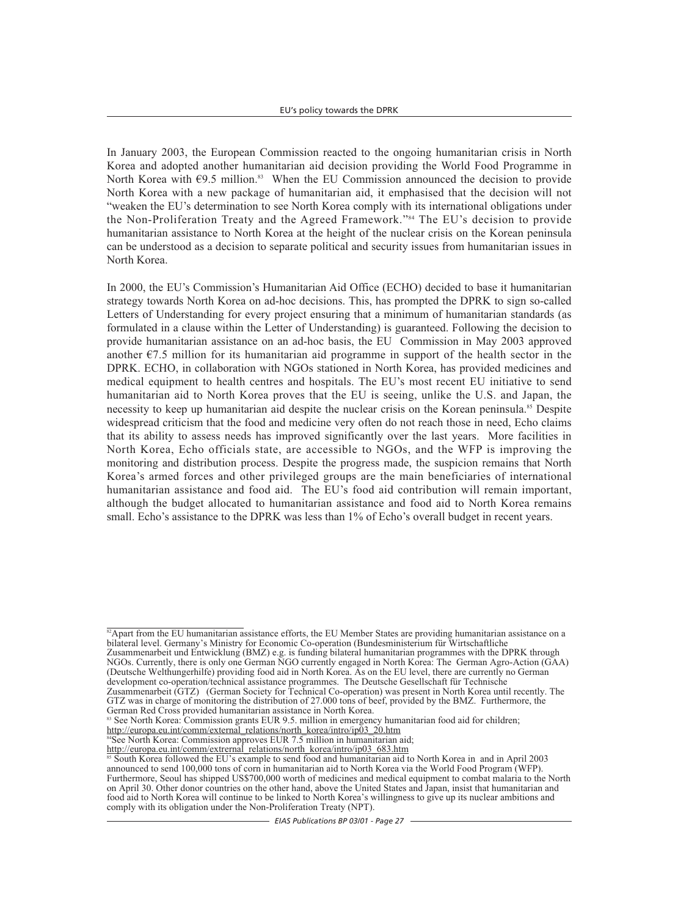In January 2003, the European Commission reacted to the ongoing humanitarian crisis in North Korea and adopted another humanitarian aid decision providing the World Food Programme in North Korea with  $\epsilon$ 9.5 million.<sup>83</sup> When the EU Commission announced the decision to provide North Korea with a new package of humanitarian aid, it emphasised that the decision will not "weaken the EU's determination to see North Korea comply with its international obligations under the Non-Proliferation Treaty and the Agreed Framework."84 The EU's decision to provide humanitarian assistance to North Korea at the height of the nuclear crisis on the Korean peninsula can be understood as a decision to separate political and security issues from humanitarian issues in North Korea.

In 2000, the EU's Commission's Humanitarian Aid Office (ECHO) decided to base it humanitarian strategy towards North Korea on ad-hoc decisions. This, has prompted the DPRK to sign so-called Letters of Understanding for every project ensuring that a minimum of humanitarian standards (as formulated in a clause within the Letter of Understanding) is guaranteed. Following the decision to provide humanitarian assistance on an ad-hoc basis, the EU Commission in May 2003 approved another  $\epsilon$ 7.5 million for its humanitarian aid programme in support of the health sector in the DPRK. ECHO, in collaboration with NGOs stationed in North Korea, has provided medicines and medical equipment to health centres and hospitals. The EU's most recent EU initiative to send humanitarian aid to North Korea proves that the EU is seeing, unlike the U.S. and Japan, the necessity to keep up humanitarian aid despite the nuclear crisis on the Korean peninsula.<sup>85</sup> Despite widespread criticism that the food and medicine very often do not reach those in need, Echo claims that its ability to assess needs has improved significantly over the last years. More facilities in North Korea, Echo officials state, are accessible to NGOs, and the WFP is improving the monitoring and distribution process. Despite the progress made, the suspicion remains that North Korea's armed forces and other privileged groups are the main beneficiaries of international humanitarian assistance and food aid. The EU's food aid contribution will remain important, although the budget allocated to humanitarian assistance and food aid to North Korea remains small. Echo's assistance to the DPRK was less than 1% of Echo's overall budget in recent years.

<sup>&</sup>lt;sup>82</sup>Apart from the EU humanitarian assistance efforts, the EU Member States are providing humanitarian assistance on a bilateral level. Germany's Ministry for Economic Co-operation (Bundesministerium für Wirtschaftliche Zusammenarbeit und Entwicklung (BMZ) e.g. is funding bilateral humanitarian programmes with the DPRK through NGOs. Currently, there is only one German NGO currently engaged in North Korea: The German Agro-Action (GAA) (Deutsche Welthungerhilfe) providing food aid in North Korea. As on the EU level, there are currently no German development co-operation/technical assistance programmes. The Deutsche Gesellschaft für Technische Zusammenarbeit (GTZ) (German Society for Technical Co-operation) was present in North Korea until recently. The GTZ was in charge of monitoring the distribution of 27.000 tons of beef, provided by the BMZ. Furthermore, the German Red Cross provided humanitarian assistance in North Korea.

<sup>83</sup> See North Korea: Commission grants EUR 9.5. million in emergency humanitarian food aid for children; http://europa.eu.int/comm/external\_relations/north\_korea/intro/ip03\_20.htm

<sup>&</sup>lt;sup>84</sup>See North Korea: Commission approves EUR 7.5 million in humanitarian aid;

http://europa.eu.int/comm/extrernal\_relations/north\_korea/intro/ip03\_683.htm <sup>85</sup> South Korea followed the EU's example to send food and humanitarian aid to North Korea in and in April 2003 announced to send 100,000 tons of corn in humanitarian aid to North Korea via the World Food Program (WFP). Furthermore, Seoul has shipped US\$700,000 worth of medicines and medical equipment to combat malaria to the North on April 30. Other donor countries on the other hand, above the United States and Japan, insist that humanitarian and food aid to North Korea will continue to be linked to North Korea's willingness to give up its nuclear ambitions and comply with its obligation under the Non-Proliferation Treaty (NPT).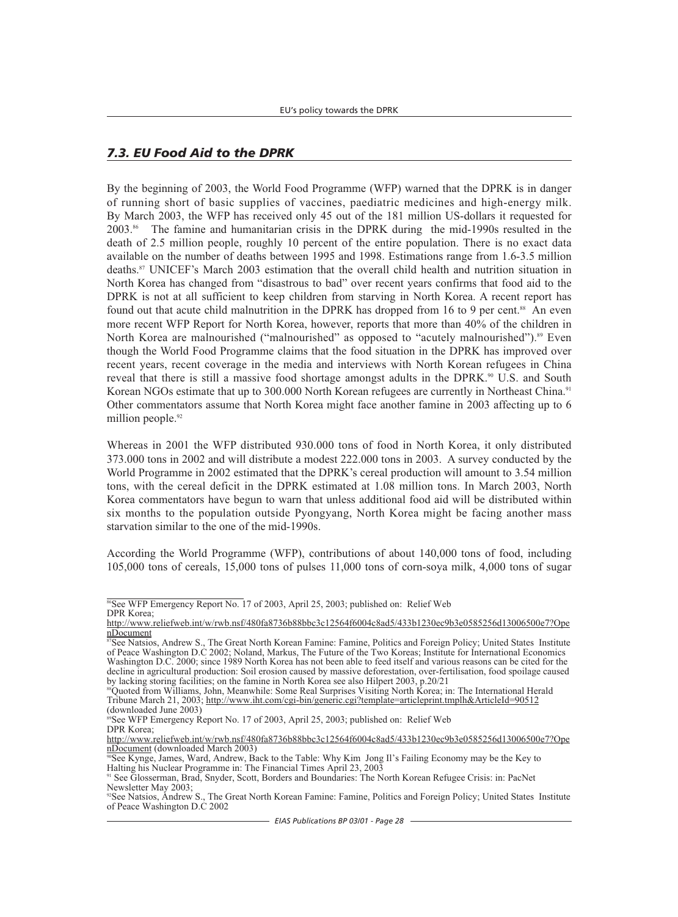## *7.3. EU Food Aid to the DPRK*

By the beginning of 2003, the World Food Programme (WFP) warned that the DPRK is in danger of running short of basic supplies of vaccines, paediatric medicines and high-energy milk. By March 2003, the WFP has received only 45 out of the 181 million US-dollars it requested for 2003.86 The famine and humanitarian crisis in the DPRK during the mid-1990s resulted in the death of 2.5 million people, roughly 10 percent of the entire population. There is no exact data available on the number of deaths between 1995 and 1998. Estimations range from 1.6-3.5 million deaths.87 UNICEF's March 2003 estimation that the overall child health and nutrition situation in North Korea has changed from "disastrous to bad" over recent years confirms that food aid to the DPRK is not at all sufficient to keep children from starving in North Korea. A recent report has found out that acute child malnutrition in the DPRK has dropped from 16 to 9 per cent.<sup>88</sup> An even more recent WFP Report for North Korea, however, reports that more than 40% of the children in North Korea are malnourished ("malnourished" as opposed to "acutely malnourished").<sup>89</sup> Even though the World Food Programme claims that the food situation in the DPRK has improved over recent years, recent coverage in the media and interviews with North Korean refugees in China reveal that there is still a massive food shortage amongst adults in the DPRK.<sup>90</sup> U.S. and South Korean NGOs estimate that up to 300.000 North Korean refugees are currently in Northeast China.<sup>91</sup> Other commentators assume that North Korea might face another famine in 2003 affecting up to 6 million people.<sup>92</sup>

Whereas in 2001 the WFP distributed 930.000 tons of food in North Korea, it only distributed 373.000 tons in 2002 and will distribute a modest 222.000 tons in 2003. A survey conducted by the World Programme in 2002 estimated that the DPRK's cereal production will amount to 3.54 million tons, with the cereal deficit in the DPRK estimated at 1.08 million tons. In March 2003, North Korea commentators have begun to warn that unless additional food aid will be distributed within six months to the population outside Pyongyang, North Korea might be facing another mass starvation similar to the one of the mid-1990s.

According the World Programme (WFP), contributions of about 140,000 tons of food, including 105,000 tons of cereals, 15,000 tons of pulses 11,000 tons of corn-soya milk, 4,000 tons of sugar

<sup>&</sup>lt;sup>86</sup>See WFP Emergency Report No. 17 of 2003, April 25, 2003; published on: Relief Web DPR Korea;

http://www.reliefweb.int/w/rwb.nsf/480fa8736b88bbc3c12564f6004c8ad5/433b1230ec9b3e0585256d13006500e7?Ope nDocument

<sup>87</sup>See Natsios, Andrew S., The Great North Korean Famine: Famine, Politics and Foreign Policy; United States Institute of Peace Washington D.C 2002; Noland, Markus, The Future of the Two Koreas; Institute for International Economics Washington D.C. 2000; since 1989 North Korea has not been able to feed itself and various reasons can be cited for the decline in agricultural production: Soil erosion caused by massive deforestation, over-fertilisation, food spoilage caused by lacking storing facilities; on the famine in North Korea see also Hilpert 2003, p.20/21

<sup>&</sup>lt;sup>88</sup>Quoted from Williams, John, Meanwhile: Some Real Surprises Visiting North Korea; in: The International Herald Tribune March 21, 2003; http://www.iht.com/cgi-bin/generic.cgi?template=articleprint.tmplh&ArticleId=90512 (downloaded June 2003)

 $\frac{80}{9}$ See WFP Emergency Report No. 17 of 2003, April 25, 2003; published on: Relief Web DPR Korea;

http://www.reliefweb.int/w/rwb.nsf/480fa8736b88bbc3c12564f6004c8ad5/433b1230ec9b3e0585256d13006500e7?Ope<br>nDocument (downloaded March 2003)

 $\frac{1}{\sqrt{2}}$  See Kynge, James, Ward, Andrew, Back to the Table: Why Kim Jong Il's Failing Economy may be the Key to Halting his Nuclear Programme in: The Financial Times April 23, 2003

<sup>91</sup> See Glosserman, Brad, Snyder, Scott, Borders and Boundaries: The North Korean Refugee Crisis: in: PacNet Newsletter May 2003;

<sup>&</sup>lt;sup>92</sup>See Natsios, Andrew S., The Great North Korean Famine: Famine, Politics and Foreign Policy; United States Institute of Peace Washington D.C 2002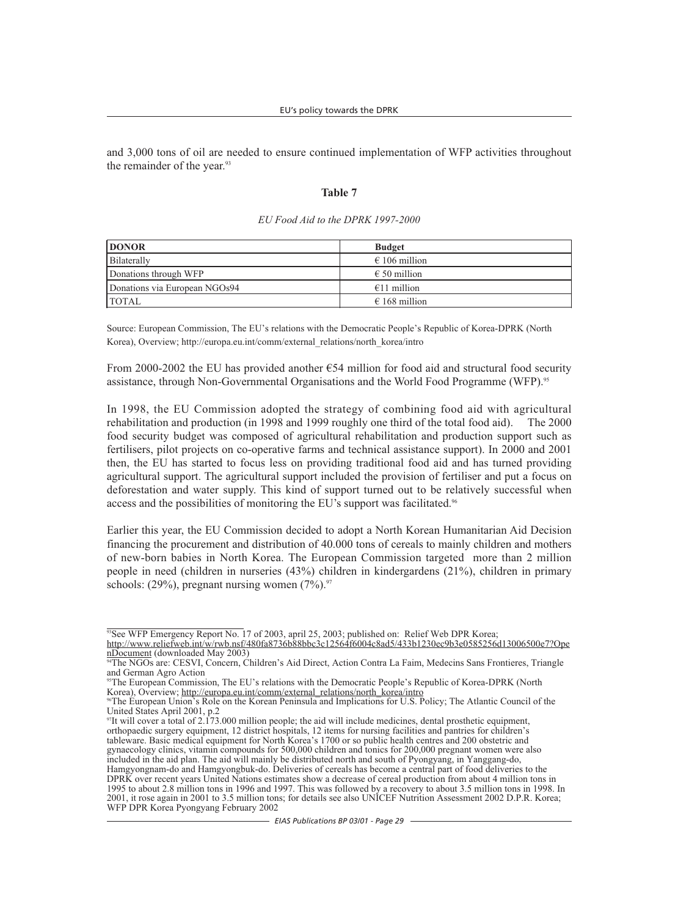and 3,000 tons of oil are needed to ensure continued implementation of WFP activities throughout the remainder of the year.<sup>93</sup>

#### **Table 7**

| <b>DONOR</b>                  | <b>Budget</b>          |
|-------------------------------|------------------------|
| Bilaterally                   | $\epsilon$ 106 million |
| Donations through WFP         | $\epsilon$ 50 million  |
| Donations via European NGOs94 | $€11$ million          |
| <b>TOTAL</b>                  | $\epsilon$ 168 million |

#### *EU Food Aid to the DPRK 1997-2000*

Source: European Commission, The EU's relations with the Democratic People's Republic of Korea-DPRK (North Korea), Overview; http://europa.eu.int/comm/external\_relations/north\_korea/intro

From 2000-2002 the EU has provided another  $\epsilon$ 54 million for food aid and structural food security assistance, through Non-Governmental Organisations and the World Food Programme (WFP).<sup>95</sup>

In 1998, the EU Commission adopted the strategy of combining food aid with agricultural rehabilitation and production (in 1998 and 1999 roughly one third of the total food aid). The 2000 food security budget was composed of agricultural rehabilitation and production support such as fertilisers, pilot projects on co-operative farms and technical assistance support). In 2000 and 2001 then, the EU has started to focus less on providing traditional food aid and has turned providing agricultural support. The agricultural support included the provision of fertiliser and put a focus on deforestation and water supply. This kind of support turned out to be relatively successful when access and the possibilities of monitoring the EU's support was facilitated.<sup>96</sup>

Earlier this year, the EU Commission decided to adopt a North Korean Humanitarian Aid Decision financing the procurement and distribution of 40.000 tons of cereals to mainly children and mothers of new-born babies in North Korea. The European Commission targeted more than 2 million people in need (children in nurseries (43%) children in kindergardens (21%), children in primary schools:  $(29\%)$ , pregnant nursing women  $(7\%)$ .<sup>97</sup>

<sup>&</sup>lt;sup>93</sup>See WFP Emergency Report No. 17 of 2003, april 25, 2003; published on: Relief Web DPR Korea;

http://www.reliefweb.int/w/rwb.nsf/480fa8736b88bbc3c12564f6004c8ad5/433b1230ec9b3e0585256d13006500e7?OpenDocument (downloaded May 2003)

<sup>&</sup>lt;sup>94</sup>The NGOs are: CESVI, Concern, Children's Aid Direct, Action Contra La Faim, Medecins Sans Frontieres, Triangle and German Agro Action

<sup>95</sup>The European Commission, The EU's relations with the Democratic People's Republic of Korea-DPRK (North Korea), Overview; http://europa.eu.int/comm/external\_relations/north\_korea/intro

<sup>96</sup>The European Union's Role on the Korean Peninsula and Implications for U.S. Policy; The Atlantic Council of the United States April 2001, p.2

 $\frac{97}{10}$  will cover a total of 2.173.000 million people; the aid will include medicines, dental prosthetic equipment, orthopaedic surgery equipment, 12 district hospitals, 12 items for nursing facilities and pantries for children's tableware. Basic medical equipment for North Korea's 1700 or so public health centres and 200 obstetric and gynaecology clinics, vitamin compounds for 500,000 children and tonics for 200,000 pregnant women were also included in the aid plan. The aid will mainly be distributed north and south of Pyongyang, in Yanggang-do, Hamgyongnam-do and Hamgyongbuk-do. Deliveries of cereals has become a central part of food deliveries to the DPRK over recent years United Nations estimates show a decrease of cereal production from about 4 million tons in 1995 to about 2.8 million tons in 1996 and 1997. This was followed by a recovery to about 3.5 million tons in 1998. In 2001, it rose again in 2001 to 3.5 million tons; for details see also UNICEF Nutrition Assessment 2002 D.P.R. Korea; WFP DPR Korea Pyongyang February 2002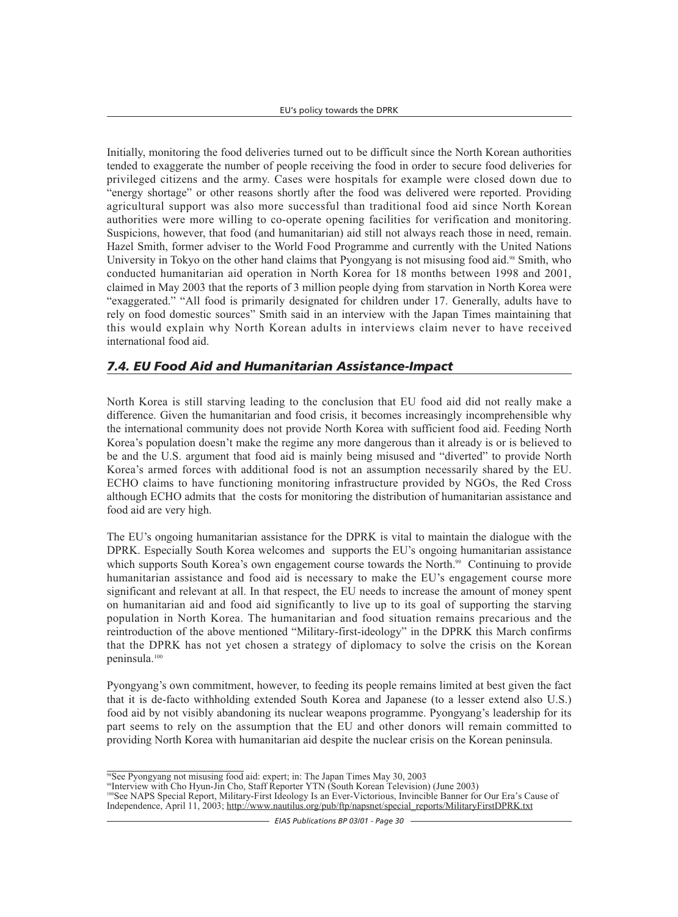Initially, monitoring the food deliveries turned out to be difficult since the North Korean authorities tended to exaggerate the number of people receiving the food in order to secure food deliveries for privileged citizens and the army. Cases were hospitals for example were closed down due to "energy shortage" or other reasons shortly after the food was delivered were reported. Providing agricultural support was also more successful than traditional food aid since North Korean authorities were more willing to co-operate opening facilities for verification and monitoring. Suspicions, however, that food (and humanitarian) aid still not always reach those in need, remain. Hazel Smith, former adviser to the World Food Programme and currently with the United Nations University in Tokyo on the other hand claims that Pyongyang is not misusing food aid.<sup>98</sup> Smith, who conducted humanitarian aid operation in North Korea for 18 months between 1998 and 2001, claimed in May 2003 that the reports of 3 million people dying from starvation in North Korea were "exaggerated." "All food is primarily designated for children under 17. Generally, adults have to rely on food domestic sources" Smith said in an interview with the Japan Times maintaining that this would explain why North Korean adults in interviews claim never to have received international food aid.

## *7.4. EU Food Aid and Humanitarian Assistance-Impact*

North Korea is still starving leading to the conclusion that EU food aid did not really make a difference. Given the humanitarian and food crisis, it becomes increasingly incomprehensible why the international community does not provide North Korea with sufficient food aid. Feeding North Korea's population doesn't make the regime any more dangerous than it already is or is believed to be and the U.S. argument that food aid is mainly being misused and "diverted" to provide North Korea's armed forces with additional food is not an assumption necessarily shared by the EU. ECHO claims to have functioning monitoring infrastructure provided by NGOs, the Red Cross although ECHO admits that the costs for monitoring the distribution of humanitarian assistance and food aid are very high.

The EU's ongoing humanitarian assistance for the DPRK is vital to maintain the dialogue with the DPRK. Especially South Korea welcomes and supports the EU's ongoing humanitarian assistance which supports South Korea's own engagement course towards the North.<sup>99</sup> Continuing to provide humanitarian assistance and food aid is necessary to make the EU's engagement course more significant and relevant at all. In that respect, the EU needs to increase the amount of money spent on humanitarian aid and food aid significantly to live up to its goal of supporting the starving population in North Korea. The humanitarian and food situation remains precarious and the reintroduction of the above mentioned "Military-first-ideology" in the DPRK this March confirms that the DPRK has not yet chosen a strategy of diplomacy to solve the crisis on the Korean peninsula.100

Pyongyang's own commitment, however, to feeding its people remains limited at best given the fact that it is de-facto withholding extended South Korea and Japanese (to a lesser extend also U.S.) food aid by not visibly abandoning its nuclear weapons programme. Pyongyang's leadership for its part seems to rely on the assumption that the EU and other donors will remain committed to providing North Korea with humanitarian aid despite the nuclear crisis on the Korean peninsula.

<sup>&</sup>lt;sup>98</sup>See Pyongyang not misusing food aid: expert; in: The Japan Times May 30, 2003

<sup>99</sup>Interview with Cho Hyun-Jin Cho, Staff Reporter YTN (South Korean Television) (June 2003)

<sup>&</sup>lt;sup>100</sup>See NAPS Special Report, Military-First Ideology Is an Ever-Victorious, Invincible Banner for Our Era's Cause of Independence, April 11, 2003; http://www.nautilus.org/pub/ftp/napsnet/special\_reports/MilitaryFirstDPRK.txt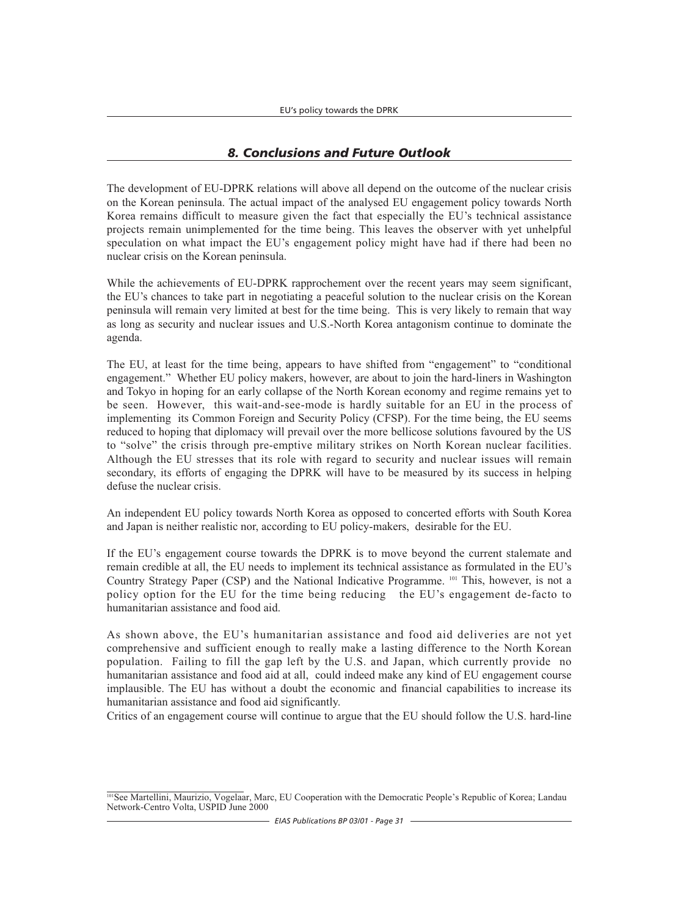## *8. Conclusions and Future Outlook*

The development of EU-DPRK relations will above all depend on the outcome of the nuclear crisis on the Korean peninsula. The actual impact of the analysed EU engagement policy towards North Korea remains difficult to measure given the fact that especially the EU's technical assistance projects remain unimplemented for the time being. This leaves the observer with yet unhelpful speculation on what impact the EU's engagement policy might have had if there had been no nuclear crisis on the Korean peninsula.

While the achievements of EU-DPRK rapprochement over the recent years may seem significant, the EU's chances to take part in negotiating a peaceful solution to the nuclear crisis on the Korean peninsula will remain very limited at best for the time being. This is very likely to remain that way as long as security and nuclear issues and U.S.-North Korea antagonism continue to dominate the agenda.

The EU, at least for the time being, appears to have shifted from "engagement" to "conditional engagement." Whether EU policy makers, however, are about to join the hard-liners in Washington and Tokyo in hoping for an early collapse of the North Korean economy and regime remains yet to be seen. However, this wait-and-see-mode is hardly suitable for an EU in the process of implementing its Common Foreign and Security Policy (CFSP). For the time being, the EU seems reduced to hoping that diplomacy will prevail over the more bellicose solutions favoured by the US to "solve" the crisis through pre-emptive military strikes on North Korean nuclear facilities. Although the EU stresses that its role with regard to security and nuclear issues will remain secondary, its efforts of engaging the DPRK will have to be measured by its success in helping defuse the nuclear crisis.

An independent EU policy towards North Korea as opposed to concerted efforts with South Korea and Japan is neither realistic nor, according to EU policy-makers, desirable for the EU.

If the EU's engagement course towards the DPRK is to move beyond the current stalemate and remain credible at all, the EU needs to implement its technical assistance as formulated in the EU's Country Strategy Paper (CSP) and the National Indicative Programme. 101 This, however, is not a policy option for the EU for the time being reducing the EU's engagement de-facto to humanitarian assistance and food aid.

As shown above, the EU's humanitarian assistance and food aid deliveries are not yet comprehensive and sufficient enough to really make a lasting difference to the North Korean population. Failing to fill the gap left by the U.S. and Japan, which currently provide no humanitarian assistance and food aid at all, could indeed make any kind of EU engagement course implausible. The EU has without a doubt the economic and financial capabilities to increase its humanitarian assistance and food aid significantly.

Critics of an engagement course will continue to argue that the EU should follow the U.S. hard-line

<sup>&</sup>lt;sup>101</sup>See Martellini, Maurizio, Vogelaar, Marc, EU Cooperation with the Democratic People's Republic of Korea; Landau Network-Centro Volta, USPID June 2000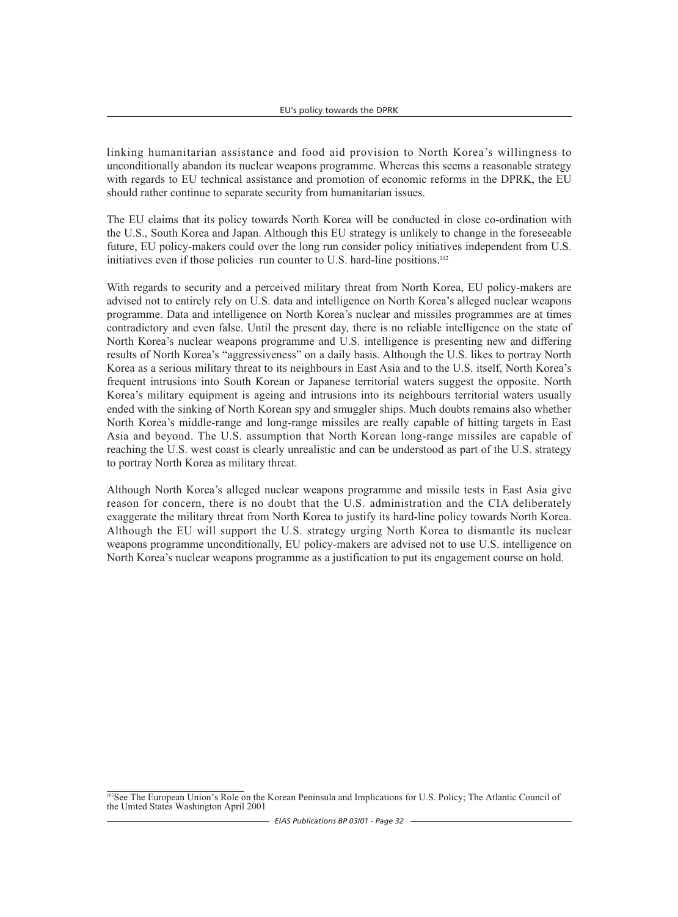linking humanitarian assistance and food aid provision to North Korea's willingness to unconditionally abandon its nuclear weapons programme. Whereas this seems a reasonable strategy with regards to EU technical assistance and promotion of economic reforms in the DPRK, the EU should rather continue to separate security from humanitarian issues.

The EU claims that its policy towards North Korea will be conducted in close co-ordination with the U.S., South Korea and Japan. Although this EU strategy is unlikely to change in the foreseeable future, EU policy-makers could over the long run consider policy initiatives independent from U.S. initiatives even if those policies run counter to U.S. hard-line positions.<sup>102</sup>

With regards to security and a perceived military threat from North Korea, EU policy-makers are advised not to entirely rely on U.S. data and intelligence on North Korea's alleged nuclear weapons programme. Data and intelligence on North Korea's nuclear and missiles programmes are at times contradictory and even false. Until the present day, there is no reliable intelligence on the state of North Korea's nuclear weapons programme and U.S. intelligence is presenting new and differing results of North Korea's "aggressiveness" on a daily basis. Although the U.S. likes to portray North Korea as a serious military threat to its neighbours in East Asia and to the U.S. itself, North Korea's frequent intrusions into South Korean or Japanese territorial waters suggest the opposite. North Korea's military equipment is ageing and intrusions into its neighbours territorial waters usually ended with the sinking of North Korean spy and smuggler ships. Much doubts remains also whether North Korea's middle-range and long-range missiles are really capable of hitting targets in East Asia and beyond. The U.S. assumption that North Korean long-range missiles are capable of reaching the U.S. west coast is clearly unrealistic and can be understood as part of the U.S. strategy to portray North Korea as military threat.

Although North Korea's alleged nuclear weapons programme and missile tests in East Asia give reason for concern, there is no doubt that the U.S. administration and the CIA deliberately exaggerate the military threat from North Korea to justify its hard-line policy towards North Korea. Although the EU will support the U.S. strategy urging North Korea to dismantle its nuclear weapons programme unconditionally, EU policy-makers are advised not to use U.S. intelligence on North Korea's nuclear weapons programme as a justification to put its engagement course on hold.

<sup>&</sup>lt;sup>102</sup>See The European Union's Role on the Korean Peninsula and Implications for U.S. Policy; The Atlantic Council of the United States Washington April 2001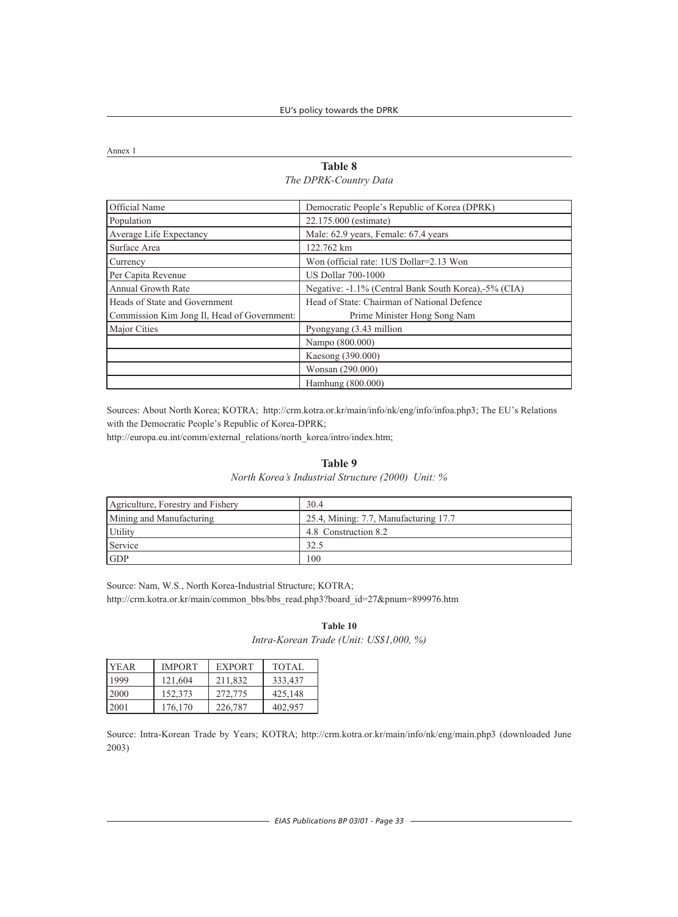Annex 1

#### **Table 8** *The DPRK-Country Data*

| Official Name                               | Democratic People's Republic of Korea (DPRK)         |
|---------------------------------------------|------------------------------------------------------|
| Population                                  | 22.175.000 (estimate)                                |
| Average Life Expectancy                     | Male: 62.9 years, Female: 67.4 years                 |
| Surface Area                                | 122.762 km                                           |
| Currency                                    | Won (official rate: 1US Dollar=2.13 Won              |
| Per Capita Revenue                          | <b>US Dollar 700-1000</b>                            |
| Annual Growth Rate                          | Negative: -1.1% (Central Bank South Korea),-5% (CIA) |
| Heads of State and Government               | Head of State: Chairman of National Defence          |
| Commission Kim Jong Il, Head of Government: | Prime Minister Hong Song Nam                         |
| Major Cities                                | Pyongyang (3.43 million                              |
|                                             | Nampo (800.000)                                      |
|                                             | Kaesong (390.000)                                    |
|                                             | Wonsan (290.000)                                     |
|                                             | Hamhung (800.000)                                    |

Sources: About North Korea; KOTRA; http://crm.kotra.or.kr/main/info/nk/eng/info/infoa.php3; The EU's Relations with the Democratic People's Republic of Korea-DPRK;

http://europa.eu.int/comm/external\_relations/north\_korea/intro/index.htm;

#### **Table 9**

*North Korea's Industrial Structure (2000) Unit: %*

| Agriculture, Forestry and Fishery | 30.4                                  |
|-----------------------------------|---------------------------------------|
| Mining and Manufacturing          | 25.4, Mining: 7.7, Manufacturing 17.7 |
| <b>Utility</b>                    | 4.8 Construction 8.2                  |
| Service                           | 32.5                                  |
| <b>IGDP</b>                       | 100                                   |

Source: Nam, W.S., North Korea-Industrial Structure; KOTRA; http://crm.kotra.or.kr/main/common\_bbs/bbs\_read.php3?board\_id=27&pnum=899976.htm

#### **Table 10** *Intra-Korean Trade (Unit: US\$1,000, %)*

| <b>IYEAR</b> | <b>IMPORT</b> | <b>EXPORT</b> | TOTAL   |
|--------------|---------------|---------------|---------|
| 1999         | 121,604       | 211,832       | 333,437 |
| 2000         | 152,373       | 272,775       | 425,148 |
| 2001         | 176,170       | 226,787       | 402.957 |

Source: Intra-Korean Trade by Years; KOTRA; http://crm.kotra.or.kr/main/info/nk/eng/main.php3 (downloaded June 2003)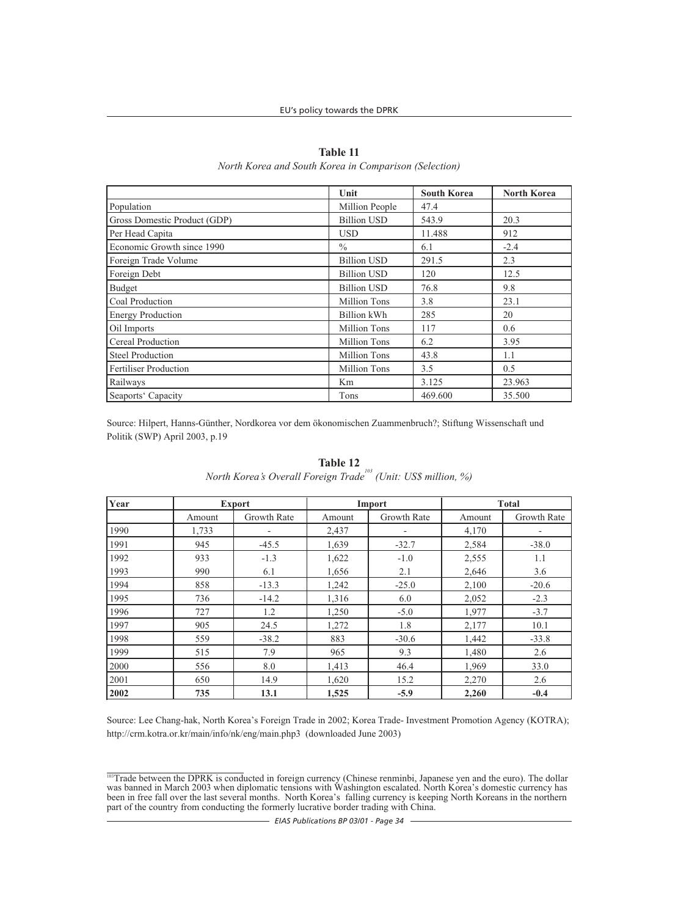|                              | Unit                | <b>South Korea</b> | <b>North Korea</b> |
|------------------------------|---------------------|--------------------|--------------------|
| Population                   | Million People      | 47.4               |                    |
| Gross Domestic Product (GDP) | <b>Billion USD</b>  | 543.9              | 20.3               |
| Per Head Capita              | <b>USD</b>          | 11.488             | 912                |
| Economic Growth since 1990   | $\frac{0}{0}$       | 6.1                | $-2.4$             |
| Foreign Trade Volume         | <b>Billion USD</b>  | 291.5              | 2.3                |
| Foreign Debt                 | <b>Billion USD</b>  | 120                | 12.5               |
| Budget                       | <b>Billion USD</b>  | 76.8               | 9.8                |
| Coal Production              | <b>Million Tons</b> | 3.8                | 23.1               |
| <b>Energy Production</b>     | Billion kWh         | 285                | 20                 |
| Oil Imports                  | <b>Million Tons</b> | 117                | 0.6                |
| Cereal Production            | <b>Million Tons</b> | 6.2                | 3.95               |
| <b>Steel Production</b>      | <b>Million Tons</b> | 43.8               | 1.1                |
| <b>Fertiliser Production</b> | <b>Million Tons</b> | 3.5                | 0.5                |
| Railways                     | Km                  | 3.125              | 23.963             |
| Seaports' Capacity           | Tons                | 469.600            | 35.500             |

**Table 11** *North Korea and South Korea in Comparison (Selection)*

Source: Hilpert, Hanns-Günther, Nordkorea vor dem ökonomischen Zuammenbruch?; Stiftung Wissenschaft und Politik (SWP) April 2003, p.19

| Year | <b>Export</b> |                          | Import |                          | <b>Total</b> |             |  |
|------|---------------|--------------------------|--------|--------------------------|--------------|-------------|--|
|      | Amount        | <b>Growth Rate</b>       | Amount | <b>Growth Rate</b>       | Amount       | Growth Rate |  |
| 1990 | 1,733         | $\overline{\phantom{a}}$ | 2,437  | $\overline{\phantom{a}}$ | 4,170        |             |  |
| 1991 | 945           | $-45.5$                  | 1,639  | $-32.7$                  | 2,584        | $-38.0$     |  |
| 1992 | 933           | $-1.3$                   | 1,622  | $-1.0$                   | 2,555        | 1.1         |  |
| 1993 | 990           | 6.1                      | 1,656  | 2.1                      | 2,646        | 3.6         |  |
| 1994 | 858           | $-13.3$                  | 1,242  | $-25.0$                  | 2,100        | $-20.6$     |  |
| 1995 | 736           | $-14.2$                  | 1,316  | 6.0                      | 2,052        | $-2.3$      |  |
| 1996 | 727           | 1.2                      | 1,250  | $-5.0$                   | 1,977        | $-3.7$      |  |
| 1997 | 905           | 24.5                     | 1,272  | 1.8                      | 2,177        | 10.1        |  |
| 1998 | 559           | $-38.2$                  | 883    | $-30.6$                  | 1,442        | $-33.8$     |  |
| 1999 | 515           | 7.9                      | 965    | 9.3                      | 1,480        | 2.6         |  |
| 2000 | 556           | 8.0                      | 1,413  | 46.4                     | 1,969        | 33.0        |  |
| 2001 | 650           | 14.9                     | 1,620  | 15.2                     | 2,270        | 2.6         |  |
| 2002 | 735           | 13.1                     | 1,525  | $-5.9$                   | 2,260        | $-0.4$      |  |

**Table 12** *North Korea's Overall Foreign Trade103 (Unit: US\$ million, %)*

Source: Lee Chang-hak, North Korea's Foreign Trade in 2002; Korea Trade- Investment Promotion Agency (KOTRA); http://crm.kotra.or.kr/main/info/nk/eng/main.php3 (downloaded June 2003)

<sup>&</sup>lt;sup>103</sup>Trade between the DPRK is conducted in foreign currency (Chinese renminbi, Japanese yen and the euro). The dollar was banned in March 2003 when diplomatic tensions with Washington escalated. North Korea's domestic currency has been in free fall over the last several months. North Korea's falling currency is keeping North Koreans in the northern part of the country from conducting the formerly lucrative border trading with China.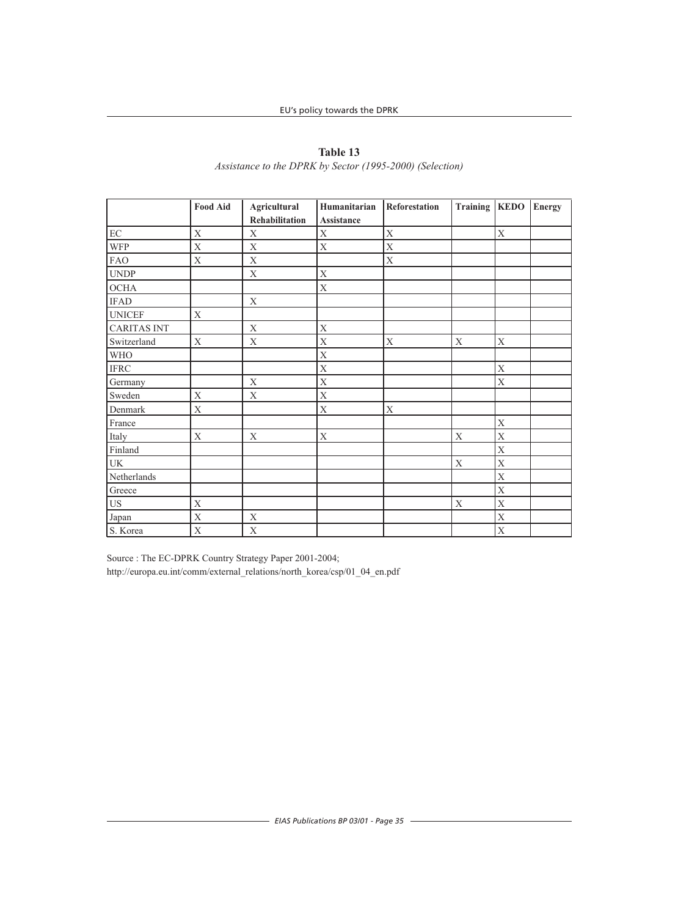|                            | <b>Food Aid</b>           | <b>Agricultural</b><br>Rehabilitation | Humanitarian<br>Assistance | Reforestation | Training   KEDO |             | <b>Energy</b> |
|----------------------------|---------------------------|---------------------------------------|----------------------------|---------------|-----------------|-------------|---------------|
|                            |                           |                                       |                            |               |                 |             |               |
| $\rm EC$                   | $\mathbf X$               | $\mathbf X$                           | $\mathbf X$                | $\mathbf X$   |                 | $\mathbf X$ |               |
| <b>WFP</b>                 | $\mathbf X$               | $\mathbf X$                           | $\mathbf X$                | $\bar{X}$     |                 |             |               |
| <b>FAO</b>                 | $\mathbf X$               | $\mathbf X$                           |                            | $\mathbf X$   |                 |             |               |
| <b>UNDP</b>                |                           | $\mathbf X$                           | $\mathbf X$                |               |                 |             |               |
| $\rm OCHA$                 |                           |                                       | $\mathbf X$                |               |                 |             |               |
| <b>IFAD</b>                |                           | $\mathbf X$                           |                            |               |                 |             |               |
| <b>UNICEF</b>              | $\mathbf X$               |                                       |                            |               |                 |             |               |
| <b>CARITAS INT</b>         |                           | $\mathbf X$                           | $\mathbf X$                |               |                 |             |               |
| Switzerland                | $\mathbf X$               | $\mathbf X$                           | $\mathbf X$                | $\mathbf X$   | $\mathbf X$     | $\mathbf X$ |               |
| <b>WHO</b>                 |                           |                                       | $\mathbf X$                |               |                 |             |               |
| $\operatorname{IFRC}$      |                           |                                       | $\mathbf X$                |               |                 | $\mathbf X$ |               |
| Germany                    |                           | $\mathbf X$                           | $\overline{X}$             |               |                 | $\bar{X}$   |               |
| Sweden                     | $\overline{X}$            | $\mathbf X$                           | $\mathbf X$                |               |                 |             |               |
| Denmark                    | $\mathbf X$               |                                       | $\mathbf X$                | $\mathbf X$   |                 |             |               |
| France                     |                           |                                       |                            |               |                 | $\bar{X}$   |               |
| Italy                      | $\mathbf X$               | $\mathbf X$                           | $\mathbf X$                |               | $\mathbf X$     | $\mathbf X$ |               |
| Finland                    |                           |                                       |                            |               |                 | $\mathbf X$ |               |
| UK                         |                           |                                       |                            |               | $\mathbf X$     | $\bar{X}$   |               |
| Netherlands                |                           |                                       |                            |               |                 | $\mathbf X$ |               |
| Greece                     |                           |                                       |                            |               |                 | $\mathbf X$ |               |
| $\ensuremath{\mathsf{US}}$ | $\boldsymbol{\mathrm{X}}$ |                                       |                            |               | $\mathbf X$     | $\mathbf X$ |               |
| Japan                      | $\mathbf X$               | $\mathbf X$                           |                            |               |                 | $\mathbf X$ |               |
| S. Korea                   | $\mathbf X$               | $\mathbf X$                           |                            |               |                 | $\mathbf X$ |               |

# **Table 13**

*Assistance to the DPRK by Sector (1995-2000) (Selection)*

Source : The EC-DPRK Country Strategy Paper 2001-2004; http://europa.eu.int/comm/external\_relations/north\_korea/csp/01\_04\_en.pdf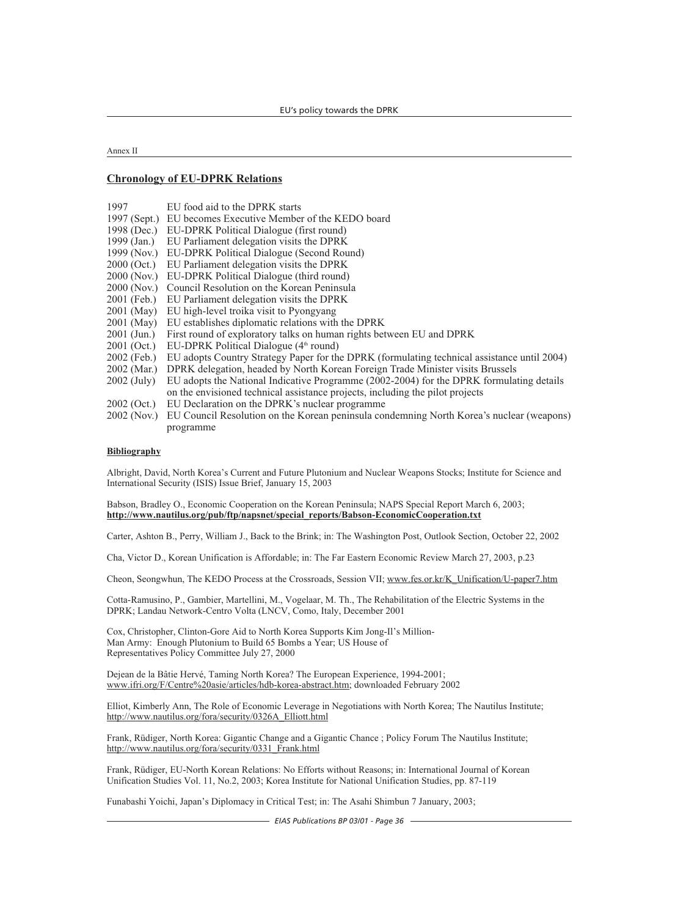Annex II

#### **Chronology of EU-DPRK Relations**

| 1997          | EU food aid to the DPRK starts                                                              |  |  |  |  |
|---------------|---------------------------------------------------------------------------------------------|--|--|--|--|
| 1997 (Sept.)  | EU becomes Executive Member of the KEDO board                                               |  |  |  |  |
| 1998 (Dec.)   | EU-DPRK Political Dialogue (first round)                                                    |  |  |  |  |
| 1999 (Jan.)   | EU Parliament delegation visits the DPRK                                                    |  |  |  |  |
| 1999 (Nov.)   | EU-DPRK Political Dialogue (Second Round)                                                   |  |  |  |  |
| $2000$ (Oct.) | EU Parliament delegation visits the DPRK                                                    |  |  |  |  |
| 2000 (Nov.)   | EU-DPRK Political Dialogue (third round)                                                    |  |  |  |  |
| 2000 (Nov.)   | Council Resolution on the Korean Peninsula                                                  |  |  |  |  |
| 2001 (Feb.)   | EU Parliament delegation visits the DPRK                                                    |  |  |  |  |
| 2001 (May)    | EU high-level troika visit to Pyongyang                                                     |  |  |  |  |
| 2001 (May)    | EU establishes diplomatic relations with the DPRK                                           |  |  |  |  |
| $2001$ (Jun.) | First round of exploratory talks on human rights between EU and DPRK                        |  |  |  |  |
| $2001$ (Oct.) | EU-DPRK Political Dialogue $(4th$ round)                                                    |  |  |  |  |
| $2002$ (Feb.) | EU adopts Country Strategy Paper for the DPRK (formulating technical assistance until 2004) |  |  |  |  |
| 2002 (Mar.)   | DPRK delegation, headed by North Korean Foreign Trade Minister visits Brussels              |  |  |  |  |
| $2002$ (July) | EU adopts the National Indicative Programme (2002-2004) for the DPRK formulating details    |  |  |  |  |
|               | on the envisioned technical assistance projects, including the pilot projects               |  |  |  |  |
| $2002$ (Oct.) | EU Declaration on the DPRK's nuclear programme                                              |  |  |  |  |
| 2002 (Nov.)   | EU Council Resolution on the Korean peninsula condemning North Korea's nuclear (weapons)    |  |  |  |  |
|               | programme                                                                                   |  |  |  |  |

#### **Bibliography**

Albright, David, North Korea's Current and Future Plutonium and Nuclear Weapons Stocks; Institute for Science and International Security (ISIS) Issue Brief, January 15, 2003

#### Babson, Bradley O., Economic Cooperation on the Korean Peninsula; NAPS Special Report March 6, 2003; **http://www.nautilus.org/pub/ftp/napsnet/special\_reports/Babson-EconomicCooperation.txt**

Carter, Ashton B., Perry, William J., Back to the Brink; in: The Washington Post, Outlook Section, October 22, 2002

Cha, Victor D., Korean Unification is Affordable; in: The Far Eastern Economic Review March 27, 2003, p.23

Cheon, Seongwhun, The KEDO Process at the Crossroads, Session VII; www.fes.or.kr/K\_Unification/U-paper7.htm

Cotta-Ramusino, P., Gambier, Martellini, M., Vogelaar, M. Th., The Rehabilitation of the Electric Systems in the DPRK; Landau Network-Centro Volta (LNCV, Como, Italy, December 2001

Cox, Christopher, Clinton-Gore Aid to North Korea Supports Kim Jong-Il's Million-Man Army: Enough Plutonium to Build 65 Bombs a Year; US House of Representatives Policy Committee July 27, 2000

Dejean de la Bâtie Hervé, Taming North Korea? The European Experience, 1994-2001; www.ifri.org/F/Centre%20asie/articles/hdb-korea-abstract.htm; downloaded February 2002

Elliot, Kimberly Ann, The Role of Economic Leverage in Negotiations with North Korea; The Nautilus Institute; http://www.nautilus.org/fora/security/0326A\_Elliott.html

Frank, Rüdiger, North Korea: Gigantic Change and a Gigantic Chance ; Policy Forum The Nautilus Institute; http://www.nautilus.org/fora/security/0331\_Frank.html

Frank, Rüdiger, EU-North Korean Relations: No Efforts without Reasons; in: International Journal of Korean Unification Studies Vol. 11, No.2, 2003; Korea Institute for National Unification Studies, pp. 87-119

Funabashi Yoichi, Japan's Diplomacy in Critical Test; in: The Asahi Shimbun 7 January, 2003;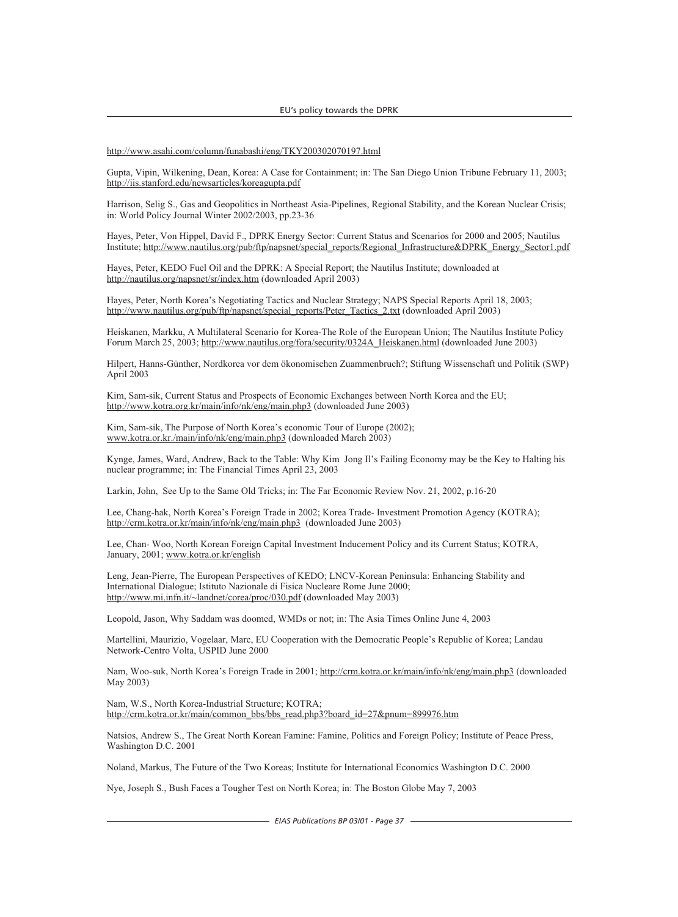http://www.asahi.com/column/funabashi/eng/TKY200302070197.html

Gupta, Vipin, Wilkening, Dean, Korea: A Case for Containment; in: The San Diego Union Tribune February 11, 2003; http://iis.stanford.edu/newsarticles/koreagupta.pdf

Harrison, Selig S., Gas and Geopolitics in Northeast Asia-Pipelines, Regional Stability, and the Korean Nuclear Crisis; in: World Policy Journal Winter 2002/2003, pp.23-36

Hayes, Peter, Von Hippel, David F., DPRK Energy Sector: Current Status and Scenarios for 2000 and 2005; Nautilus Institute; http://www.nautilus.org/pub/ftp/napsnet/special\_reports/Regional\_Infrastructure&DPRK\_Energy\_Sector1.pdf

Hayes, Peter, KEDO Fuel Oil and the DPRK: A Special Report; the Nautilus Institute; downloaded at http://nautilus.org/napsnet/sr/index.htm (downloaded April 2003)

Hayes, Peter, North Korea's Negotiating Tactics and Nuclear Strategy; NAPS Special Reports April 18, 2003; http://www.nautilus.org/pub/ftp/napsnet/special\_reports/Peter\_Tactics\_2.txt (downloaded April 2003)

Heiskanen, Markku, A Multilateral Scenario for Korea-The Role of the European Union; The Nautilus Institute Policy Forum March 25, 2003; http://www.nautilus.org/fora/security/0324A\_Heiskanen.html (downloaded June 2003)

Hilpert, Hanns-Günther, Nordkorea vor dem ökonomischen Zuammenbruch?; Stiftung Wissenschaft und Politik (SWP) April 2003

Kim, Sam-sik, Current Status and Prospects of Economic Exchanges between North Korea and the EU; http://www.kotra.org.kr/main/info/nk/eng/main.php3 (downloaded June 2003)

Kim, Sam-sik, The Purpose of North Korea's economic Tour of Europe (2002); www.kotra.or.kr./main/info/nk/eng/main.php3 (downloaded March 2003)

Kynge, James, Ward, Andrew, Back to the Table: Why Kim Jong Il's Failing Economy may be the Key to Halting his nuclear programme; in: The Financial Times April 23, 2003

Larkin, John, See Up to the Same Old Tricks; in: The Far Economic Review Nov. 21, 2002, p.16-20

Lee, Chang-hak, North Korea's Foreign Trade in 2002; Korea Trade- Investment Promotion Agency (KOTRA); http://crm.kotra.or.kr/main/info/nk/eng/main.php3 (downloaded June 2003)

Lee, Chan- Woo, North Korean Foreign Capital Investment Inducement Policy and its Current Status; KOTRA, January, 2001; www.kotra.or.kr/english

Leng, Jean-Pierre, The European Perspectives of KEDO; LNCV-Korean Peninsula: Enhancing Stability and International Dialogue; Istituto Nazionale di Fisica Nucleare Rome June 2000; http://www.mi.infn.it/~landnet/corea/proc/030.pdf (downloaded May 2003)

Leopold, Jason, Why Saddam was doomed, WMDs or not; in: The Asia Times Online June 4, 2003

Martellini, Maurizio, Vogelaar, Marc, EU Cooperation with the Democratic People's Republic of Korea; Landau Network-Centro Volta, USPID June 2000

Nam, Woo-suk, North Korea's Foreign Trade in 2001; http://crm.kotra.or.kr/main/info/nk/eng/main.php3 (downloaded May 2003)

Nam, W.S., North Korea-Industrial Structure; KOTRA; http://crm.kotra.or.kr/main/common\_bbs/bbs\_read.php3?board\_id=27&pnum=899976.htm

Natsios, Andrew S., The Great North Korean Famine: Famine, Politics and Foreign Policy; Institute of Peace Press, Washington D.C. 2001

Noland, Markus, The Future of the Two Koreas; Institute for International Economics Washington D.C. 2000

Nye, Joseph S., Bush Faces a Tougher Test on North Korea; in: The Boston Globe May 7, 2003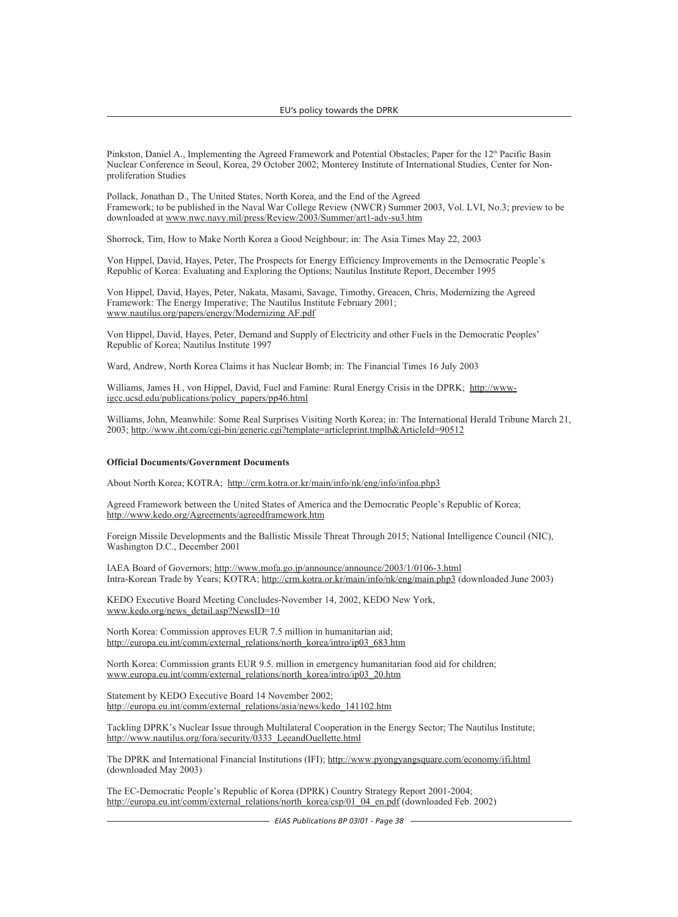Pinkston, Daniel A., Implementing the Agreed Framework and Potential Obstacles: Paper for the 12<sup>th</sup> Pacific Basin Nuclear Conference in Seoul, Korea, 29 October 2002; Monterey Institute of International Studies, Center for Nonproliferation Studies

Pollack, Jonathan D., The United States, North Korea, and the End of the Agreed Framework; to be published in the Naval War College Review (NWCR) Summer 2003, Vol. LVI, No.3; preview to be downloaded at www.nwc.navy.mil/press/Review/2003/Summer/art1-adv-su3.htm

Shorrock, Tim, How to Make North Korea a Good Neighbour; in: The Asia Times May 22, 2003

Von Hippel, David, Hayes, Peter, The Prospects for Energy Efficiency Improvements in the Democratic People's Republic of Korea: Evaluating and Exploring the Options; Nautilus Institute Report, December 1995

Von Hippel, David, Hayes, Peter, Nakata, Masami, Savage, Timothy, Greacen, Chris, Modernizing the Agreed Framework: The Energy Imperative; The Nautilus Institute February 2001; www.nautilus.org/papers/energy/Modernizing AF.pdf

Von Hippel, David, Hayes, Peter, Demand and Supply of Electricity and other Fuels in the Democratic Peoples' Republic of Korea; Nautilus Institute 1997

Ward, Andrew, North Korea Claims it has Nuclear Bomb; in: The Financial Times 16 July 2003

Williams, James H., von Hippel, David, Fuel and Famine: Rural Energy Crisis in the DPRK; http://wwwigcc.ucsd.edu/publications/policy\_papers/pp46.html

Williams, John, Meanwhile: Some Real Surprises Visiting North Korea; in: The International Herald Tribune March 21, 2003; http://www.iht.com/cgi-bin/generic.cgi?template=articleprint.tmplh&ArticleId=90512

#### **Official Documents/Government Documents**

About North Korea; KOTRA; http://crm.kotra.or.kr/main/info/nk/eng/info/infoa.php3

Agreed Framework between the United States of America and the Democratic People's Republic of Korea; http://www.kedo.org/Agreements/agreedframework.htm

Foreign Missile Developments and the Ballistic Missile Threat Through 2015; National Intelligence Council (NIC), Washington D.C., December 2001

IAEA Board of Governors; http://www.mofa.go.jp/announce/announce/2003/1/0106-3.html Intra-Korean Trade by Years; KOTRA; http://crm.kotra.or.kr/main/info/nk/eng/main.php3 (downloaded June 2003)

KEDO Executive Board Meeting Concludes-November 14, 2002, KEDO New York, www.kedo.org/news\_detail.asp?NewsID=10

North Korea: Commission approves EUR 7.5 million in humanitarian aid; http://europa.eu.int/comm/external\_relations/north\_korea/intro/ip03\_683.htm

North Korea: Commission grants EUR 9.5. million in emergency humanitarian food aid for children; www.europa.eu.int/comm/external\_relations/north\_korea/intro/ip03\_20.htm

Statement by KEDO Executive Board 14 November 2002; http://europa.eu.int/comm/external\_relations/asia/news/kedo\_141102.htm

Tackling DPRK's Nuclear Issue through Multilateral Cooperation in the Energy Sector; The Nautilus Institute; http://www.nautilus.org/fora/security/0333\_LeeandOuellette.html

The DPRK and International Financial Institutions (IFI); http://www.pyongyangsquare.com/economy/ifi.html (downloaded May 2003)

The EC-Democratic People's Republic of Korea (DPRK) Country Strategy Report 2001-2004; http://europa.eu.int/comm/external\_relations/north\_korea/csp/01\_04\_en.pdf (downloaded Feb. 2002)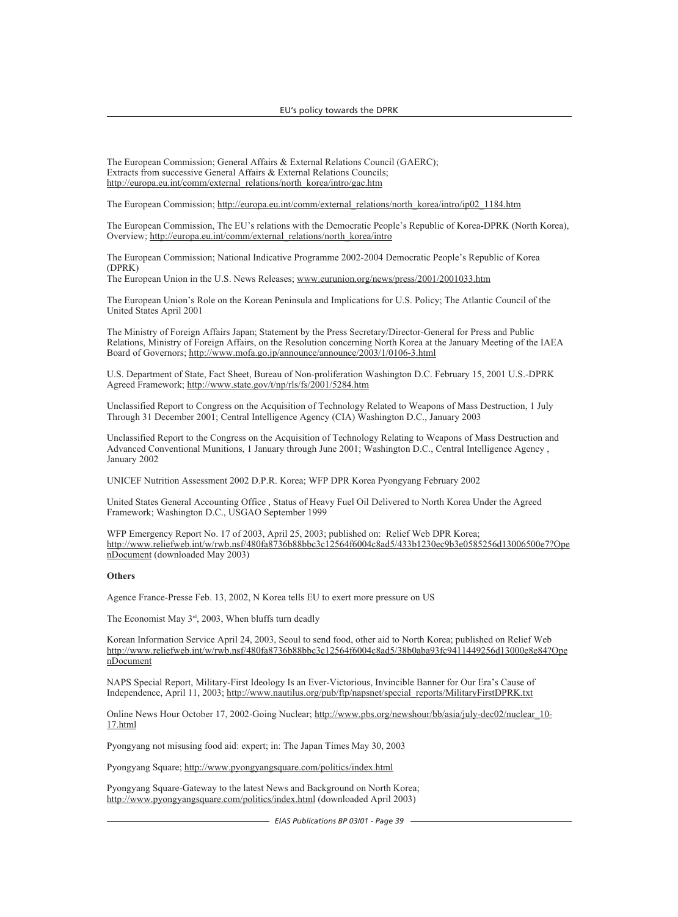The European Commission; General Affairs & External Relations Council (GAERC); Extracts from successive General Affairs & External Relations Councils; http://europa.eu.int/comm/external\_relations/north\_korea/intro/gac.htm

The European Commission; http://europa.eu.int/comm/external\_relations/north\_korea/intro/ip02\_1184.htm

The European Commission, The EU's relations with the Democratic People's Republic of Korea-DPRK (North Korea), Overview; http://europa.eu.int/comm/external\_relations/north\_korea/intro

The European Commission; National Indicative Programme 2002-2004 Democratic People's Republic of Korea (DPRK)

The European Union in the U.S. News Releases; www.eurunion.org/news/press/2001/2001033.htm

The European Union's Role on the Korean Peninsula and Implications for U.S. Policy; The Atlantic Council of the United States April 2001

The Ministry of Foreign Affairs Japan; Statement by the Press Secretary/Director-General for Press and Public Relations, Ministry of Foreign Affairs, on the Resolution concerning North Korea at the January Meeting of the IAEA Board of Governors; http://www.mofa.go.jp/announce/announce/2003/1/0106-3.html

U.S. Department of State, Fact Sheet, Bureau of Non-proliferation Washington D.C. February 15, 2001 U.S.-DPRK Agreed Framework; http://www.state.gov/t/np/rls/fs/2001/5284.htm

Unclassified Report to Congress on the Acquisition of Technology Related to Weapons of Mass Destruction, 1 July Through 31 December 2001; Central Intelligence Agency (CIA) Washington D.C., January 2003

Unclassified Report to the Congress on the Acquisition of Technology Relating to Weapons of Mass Destruction and Advanced Conventional Munitions, 1 January through June 2001; Washington D.C., Central Intelligence Agency , January 2002

UNICEF Nutrition Assessment 2002 D.P.R. Korea; WFP DPR Korea Pyongyang February 2002

United States General Accounting Office , Status of Heavy Fuel Oil Delivered to North Korea Under the Agreed Framework; Washington D.C., USGAO September 1999

WFP Emergency Report No. 17 of 2003, April 25, 2003; published on: Relief Web DPR Korea; http://www.reliefweb.int/w/rwb.nsf/480fa8736b88bbc3c12564f6004c8ad5/433b1230ec9b3e0585256d13006500e7?Ope nDocument (downloaded May 2003)

#### **Others**

Agence France-Presse Feb. 13, 2002, N Korea tells EU to exert more pressure on US

The Economist May  $3<sup>rd</sup>$ , 2003, When bluffs turn deadly

Korean Information Service April 24, 2003, Seoul to send food, other aid to North Korea; published on Relief Web http://www.reliefweb.int/w/rwb.nsf/480fa8736b88bbc3c12564f6004c8ad5/38b0aba93fc9411449256d13000e8e84?Ope nDocument

NAPS Special Report, Military-First Ideology Is an Ever-Victorious, Invincible Banner for Our Era's Cause of Independence, April 11, 2003; http://www.nautilus.org/pub/ftp/napsnet/special\_reports/MilitaryFirstDPRK.txt

Online News Hour October 17, 2002-Going Nuclear; http://www.pbs.org/newshour/bb/asia/july-dec02/nuclear 10-17.html

Pyongyang not misusing food aid: expert; in: The Japan Times May 30, 2003

Pyongyang Square; http://www.pyongyangsquare.com/politics/index.html

Pyongyang Square-Gateway to the latest News and Background on North Korea; http://www.pyongyangsquare.com/politics/index.html (downloaded April 2003)